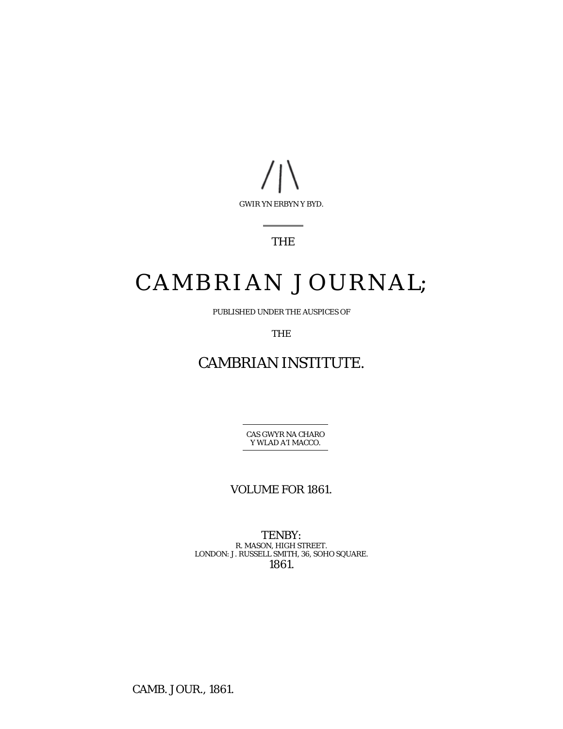

## THE

# CAMBRIAN JOURNAL;

PUBLISHED UNDER THE AUSPICES OF

THE

## CAMBRIAN INSTITUTE.

CAS GWYR NA CHARO Y WLAD A'I MACCO.

VOLUME FOR 1861.

TENBY: R. MASON, HIGH STREET. LONDON: J. RUSSELL SMITH, 36, SOHO SQUARE. 1861.

CAMB. JOUR., 1861.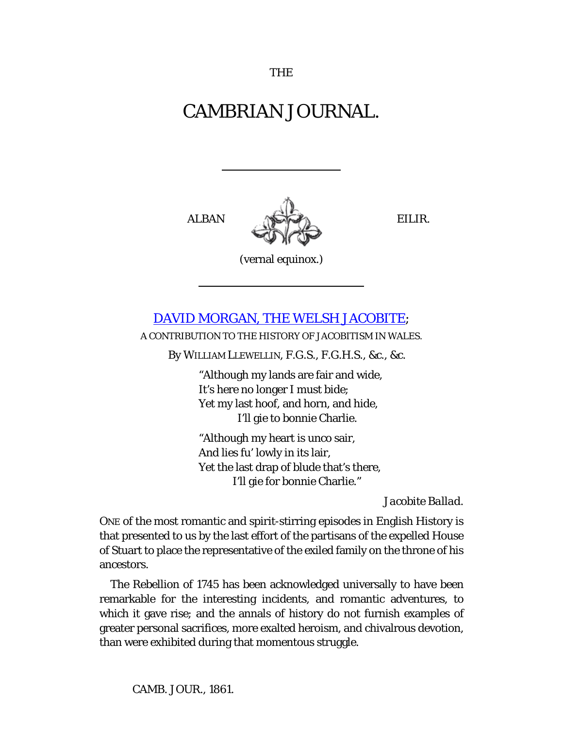## CAMBRIAN JOURNAL.

ALBAN NGHE BILIR.

(vernal equinox.)

## [DAVID MORGAN, THE WELSH JACOBITE;](http://books.google.com/books?id=M11KAAAAcAAJ&lpg=PA311&ots=KcIhoHp3SN&dq=%E2%80%98David%20Morgan%20the%20Welsh%20Jacobite%2C%E2%80%99%20Cambrian%20Journal&pg=PA297#v=onepage&q&f=false)

A CONTRIBUTION TO THE HISTORY OF JACOBITISM IN WALES.

By WILLIAM LLEWELLIN, F.G.S., F.G.H.S., &c., &c.

"Although my lands are fair and wide, It's here no longer I must bide; Yet my last hoof, and horn, and hide, I'll gie to bonnie Charlie.

"Although my heart is unco sair, And lies fu' lowly in its lair, Yet the last drap of blude that's there, I'll gie for bonnie Charlie."

*Jacobite Ballad.*

ONE of the most romantic and spirit-stirring episodes in English History is that presented to us by the last effort of the partisans of the expelled House of Stuart to place the representative of the exiled family on the throne of his ancestors.

The Rebellion of 1745 has been acknowledged universally to have been remarkable for the interesting incidents, and romantic adventures, to which it gave rise; and the annals of history do not furnish examples of greater personal sacrifices, more exalted heroism, and chivalrous devotion, than were exhibited during that momentous struggle.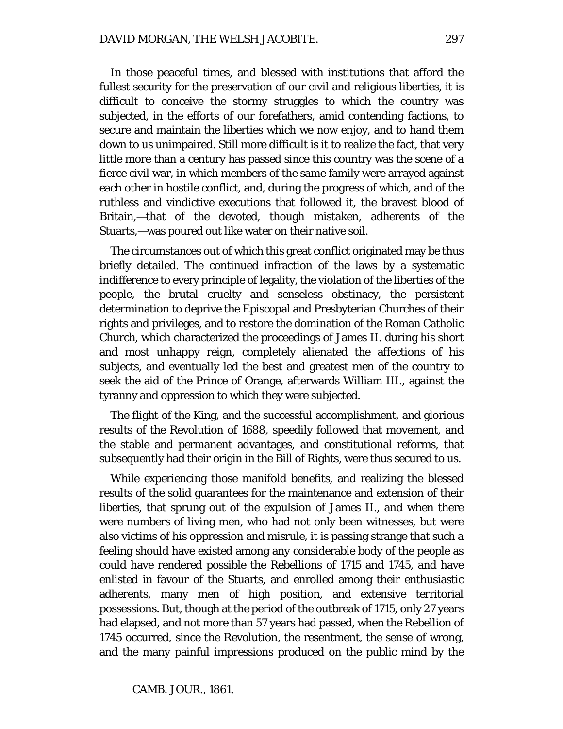In those peaceful times, and blessed with institutions that afford the fullest security for the preservation of our civil and religious liberties, it is difficult to conceive the stormy struggles to which the country was subjected, in the efforts of our forefathers, amid contending factions, to secure and maintain the liberties which we now enjoy, and to hand them down to us unimpaired. Still more difficult is it to realize the fact, that very little more than a century has passed since this country was the scene of a fierce civil war, in which members of the same family were arrayed against each other in hostile conflict, and, during the progress of which, and of the ruthless and vindictive executions that followed it, the bravest blood of Britain,—that of the devoted, though mistaken, adherents of the Stuarts,—was poured out like water on their native soil.

The circumstances out of which this great conflict originated may be thus briefly detailed. The continued infraction of the laws by a systematic indifference to every principle of legality, the violation of the liberties of the people, the brutal cruelty and senseless obstinacy, the persistent determination to deprive the Episcopal and Presbyterian Churches of their rights and privileges, and to restore the domination of the Roman Catholic Church, which characterized the proceedings of James II. during his short and most unhappy reign, completely alienated the affections of his subjects, and eventually led the best and greatest men of the country to seek the aid of the Prince of Orange, afterwards William III., against the tyranny and oppression to which they were subjected.

The flight of the King, and the successful accomplishment, and glorious results of the Revolution of 1688, speedily followed that movement, and the stable and permanent advantages, and constitutional reforms, that subsequently had their origin in the Bill of Rights, were thus secured to us.

While experiencing those manifold benefits, and realizing the blessed results of the solid guarantees for the maintenance and extension of their liberties, that sprung out of the expulsion of James II., and when there were numbers of living men, who had not only been witnesses, but were also victims of his oppression and misrule, it is passing strange that such a feeling should have existed among any considerable body of the people as could have rendered possible the Rebellions of 1715 and 1745, and have enlisted in favour of the Stuarts, and enrolled among their enthusiastic adherents, many men of high position, and extensive territorial possessions. But, though at the period of the outbreak of 1715, only 27 years had elapsed, and not more than 57 years had passed, when the Rebellion of 1745 occurred, since the Revolution, the resentment, the sense of wrong, and the many painful impressions produced on the public mind by the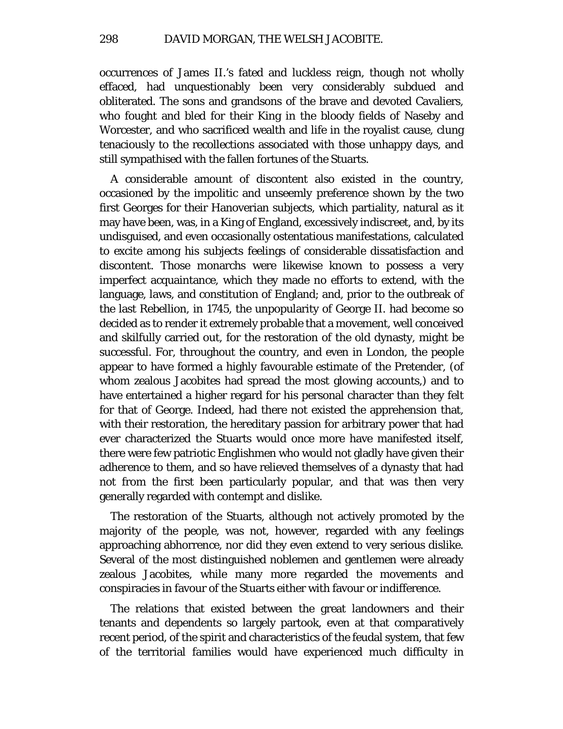occurrences of James II.'s fated and luckless reign, though not wholly effaced, had unquestionably been very considerably subdued and obliterated. The sons and grandsons of the brave and devoted Cavaliers, who fought and bled for their King in the bloody fields of Naseby and Worcester, and who sacrificed wealth and life in the royalist cause, clung tenaciously to the recollections associated with those unhappy days, and still sympathised with the fallen fortunes of the Stuarts.

A considerable amount of discontent also existed in the country, occasioned by the impolitic and unseemly preference shown by the two first Georges for their Hanoverian subjects, which partiality, natural as it may have been, was, in a King of England, excessively indiscreet, and, by its undisguised, and even occasionally ostentatious manifestations, calculated to excite among his subjects feelings of considerable dissatisfaction and discontent. Those monarchs were likewise known to possess a very imperfect acquaintance, which they made no efforts to extend, with the language, laws, and constitution of England; and, prior to the outbreak of the last Rebellion, in 1745, the unpopularity of George II. had become so decided as to render it extremely probable that a movement, well conceived and skilfully carried out, for the restoration of the old dynasty, might be successful. For, throughout the country, and even in London, the people appear to have formed a highly favourable estimate of the Pretender, (of whom zealous Jacobites had spread the most glowing accounts,) and to have entertained a higher regard for his personal character than they felt for that of George. Indeed, had there not existed the apprehension that, with their restoration, the hereditary passion for arbitrary power that had ever characterized the Stuarts would once more have manifested itself, there were few patriotic Englishmen who would not gladly have given their adherence to them, and so have relieved themselves of a dynasty that had not from the first been particularly popular, and that was then very generally regarded with contempt and dislike.

The restoration of the Stuarts, although not actively promoted by the majority of the people, was not, however, regarded with any feelings approaching abhorrence, nor did they even extend to very serious dislike. Several of the most distinguished noblemen and gentlemen were already zealous Jacobites, while many more regarded the movements and conspiracies in favour of the Stuarts either with favour or indifference.

The relations that existed between the great landowners and their tenants and dependents so largely partook, even at that comparatively recent period, of the spirit and characteristics of the feudal system, that few of the territorial families would have experienced much difficulty in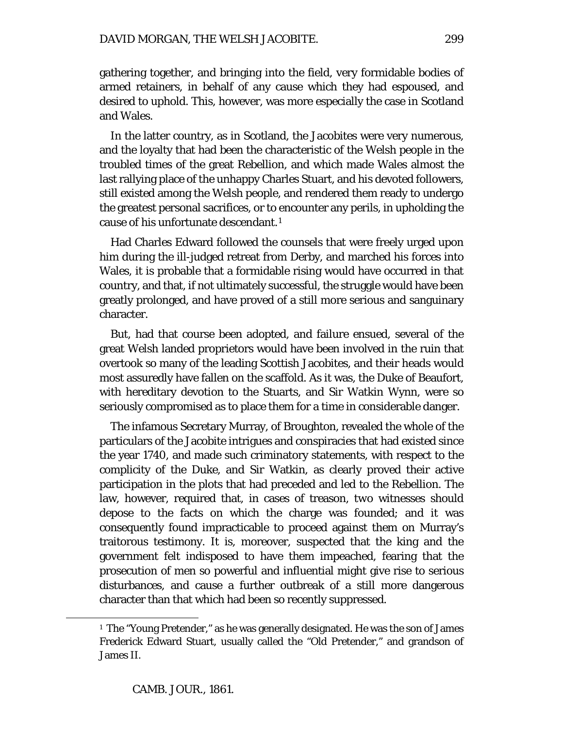gathering together, and bringing into the field, very formidable bodies of armed retainers, in behalf of any cause which they had espoused, and desired to uphold. This, however, was more especially the case in Scotland and Wales.

In the latter country, as in Scotland, the Jacobites were very numerous, and the loyalty that had been the characteristic of the Welsh people in the troubled times of the great Rebellion, and which made Wales almost the last rallying place of the unhappy Charles Stuart, and his devoted followers, still existed among the Welsh people, and rendered them ready to undergo the greatest personal sacrifices, or to encounter any perils, in upholding the cause of his unfortunate descendant.[1](#page-4-0)

Had Charles Edward followed the counsels that were freely urged upon him during the ill-judged retreat from Derby, and marched his forces into Wales, it is probable that a formidable rising would have occurred in that country, and that, if not ultimately successful, the struggle would have been greatly prolonged, and have proved of a still more serious and sanguinary character.

But, had that course been adopted, and failure ensued, several of the great Welsh landed proprietors would have been involved in the ruin that overtook so many of the leading Scottish Jacobites, and their heads would most assuredly have fallen on the scaffold. As it was, the Duke of Beaufort, with hereditary devotion to the Stuarts, and Sir Watkin Wynn, were so seriously compromised as to place them for a time in considerable danger.

The infamous Secretary Murray, of Broughton, revealed the whole of the particulars of the Jacobite intrigues and conspiracies that had existed since the year 1740, and made such criminatory statements, with respect to the complicity of the Duke, and Sir Watkin, as clearly proved their active participation in the plots that had preceded and led to the Rebellion. The law, however, required that, in cases of treason, *two* witnesses should depose to the facts on which the charge was founded; and it was consequently found impracticable to proceed against them on Murray's traitorous testimony. It is, moreover, suspected that the king and the government felt indisposed to have them impeached, fearing that the prosecution of men so powerful and influential might give rise to serious disturbances, and cause a further outbreak of a still more dangerous character than that which had been so recently suppressed.

<span id="page-4-0"></span><sup>1</sup> The "Young Pretender," as he was generally designated. He was the son of James Frederick Edward Stuart, usually called the "Old Pretender," and grandson of James II.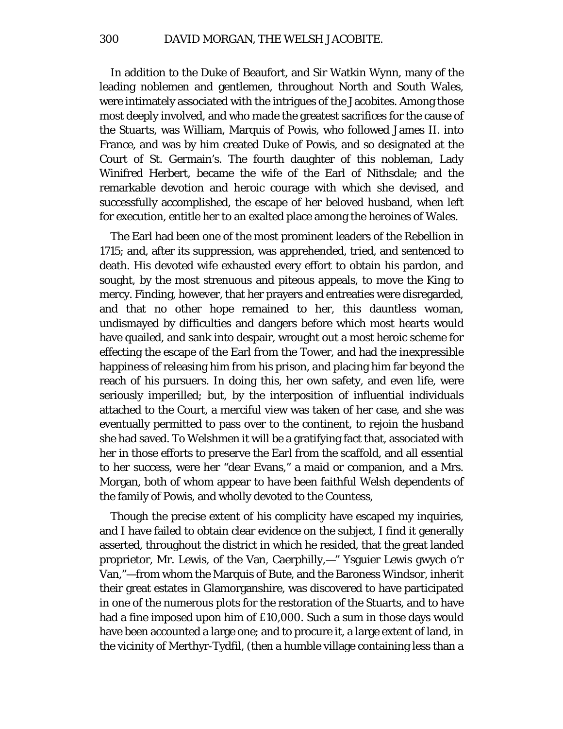In addition to the Duke of Beaufort, and Sir Watkin Wynn, many of the leading noblemen and gentlemen, throughout North and South Wales, were intimately associated with the intrigues of the Jacobites. Among those most deeply involved, and who made the greatest sacrifices for the cause of the Stuarts, was William, Marquis of Powis, who followed James II. into France, and was by him created Duke of Powis, and so designated at the Court of St. Germain's. The fourth daughter of this nobleman, Lady Winifred Herbert, became the wife of the Earl of Nithsdale; and the remarkable devotion and heroic courage with which she devised, and successfully accomplished, the escape of her beloved husband, when left for execution, entitle her to an exalted place among the heroines of Wales.

The Earl had been one of the most prominent leaders of the Rebellion in 1715; and, after its suppression, was apprehended, tried, and sentenced to death. His devoted wife exhausted every effort to obtain his pardon, and sought, by the most strenuous and piteous appeals, to move the King to mercy. Finding, however, that her prayers and entreaties were disregarded, and that no other hope remained to her, this dauntless woman, undismayed by difficulties and dangers before which most hearts would have quailed, and sank into despair, wrought out a most heroic scheme for effecting the escape of the Earl from the Tower, and had the inexpressible happiness of releasing him from his prison, and placing him far beyond the reach of his pursuers. In doing this, her own safety, and even life, were seriously imperilled; but, by the interposition of influential individuals attached to the Court, a merciful view was taken of her case, and she was eventually permitted to pass over to the continent, to rejoin the husband she had saved. To Welshmen it will be a gratifying fact that, associated with her in those efforts to preserve the Earl from the scaffold, and all essential to her success, were her "dear Evans," a maid or companion, and a Mrs. Morgan, both of whom appear to have been faithful Welsh dependents of the family of Powis, and wholly devoted to the Countess,

Though the precise extent of his complicity have escaped my inquiries, and I have failed to obtain clear evidence on the subject, I find it generally asserted, throughout the district in which he resided, that the great landed proprietor, Mr. Lewis, of the Van, Caerphilly,—" Ysguier Lewis gwych o'r Van,"—from whom the Marquis of Bute, and the Baroness Windsor, inherit their great estates in Glamorganshire, was discovered to have participated in one of the numerous plots for the restoration of the Stuarts, and to have had a fine imposed upon him of £10,000. Such a sum in those days would have been accounted a large one; and to procure it, a large extent of land, in the vicinity of Merthyr-Tydfil, (then a humble village containing less than a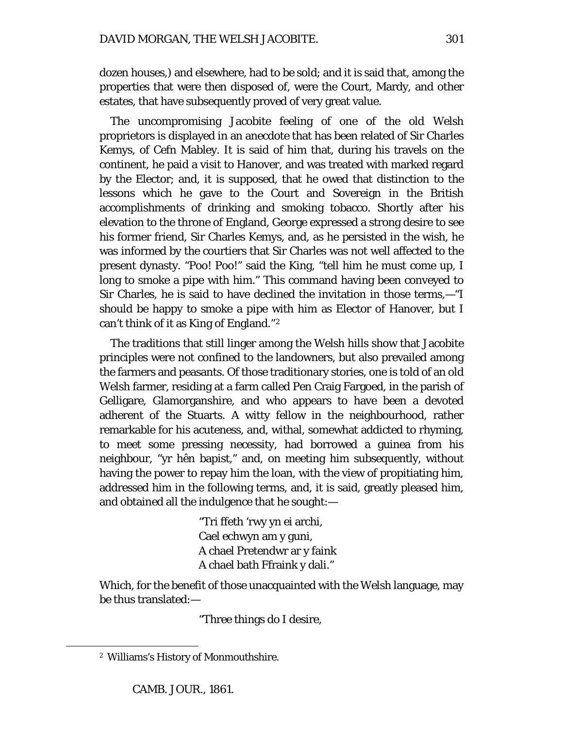dozen houses,) and elsewhere, had to be sold; and it is said that, among the properties that were then disposed of, were the Court, Mardy, and other estates, that have subsequently proved of very great value.

The uncompromising Jacobite feeling of one of the old Welsh proprietors is displayed in an anecdote that has been related of Sir Charles Kemys, of Cefn Mabley. It is said of him that, during his travels on the continent, he paid a visit to Hanover, and was treated with marked regard by the Elector; and, it is supposed, that he owed that distinction to the lessons which he gave to the Court and Sovereign in the British accomplishments of drinking and smoking tobacco. Shortly after his elevation to the throne of England, George expressed a strong desire to see his former friend, Sir Charles Kemys, and, as he persisted in the wish, he was informed by the courtiers that Sir Charles was not well affected to the present dynasty. "Poo! Poo!" said the King, "tell him he must come up, I long to smoke a pipe with him." This command having been conveyed to Sir Charles, he is said to have declined the invitation in those terms,—"I should be happy to smoke a pipe with him as Elector of Hanover, but I can't think of it as King of England."[2](#page-6-0)

The traditions that still linger among the Welsh hills show that Jacobite principles were not confined to the landowners, but also prevailed among the farmers and peasants. Of those traditionary stories, one is told of an old Welsh farmer, residing at a farm called Pen Craig Fargoed, in the parish of Gelligare, Glamorganshire, and who appears to have been a devoted adherent of the Stuarts. A witty fellow in the neighbourhood, rather remarkable for his acuteness, and, withal, somewhat addicted to rhyming, to meet some pressing necessity, had borrowed a guinea from his neighbour, "yr hên bapist," and, on meeting him subsequently, without having the power to repay him the loan, with the view of propitiating him, addressed him in the following terms, and, it is said, greatly pleased him, and obtained all the indulgence that he sought:—

> "Tri ffeth 'rwy yn ei archi, Cael echwyn am y guni, A chael Pretendwr ar y faink A chael bath Ffraink y dali."

Which, for the benefit of those unacquainted with the Welsh language, may be thus translated:—

"Three things do I desire,

<span id="page-6-0"></span><sup>2</sup> Williams's History of Monmouthshire.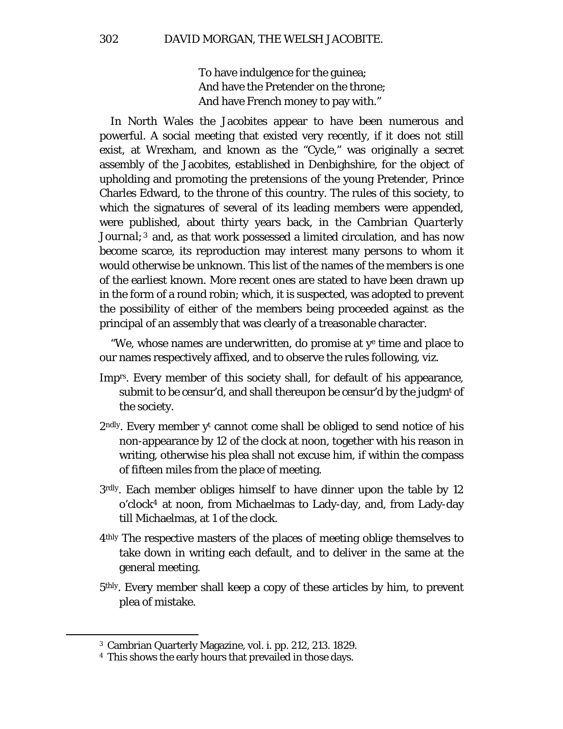To have indulgence for the guinea; And have the Pretender on the throne; And have French money to pay with."

In North Wales the Jacobites appear to have been numerous and powerful. A social meeting that existed very recently, if it does not still exist, at Wrexham, and known as the "Cycle," was originally a secret assembly of the Jacobites, established in Denbighshire, for the object of upholding and promoting the pretensions of the young Pretender, Prince Charles Edward, to the throne of this country. The rules of this society, to which the signatures of several of its leading members were appended, were published, about thirty years back, in the *Cambrian Quarterly Journal;[3](#page-7-0)* and, as that work possessed a limited circulation, and has now become scarce, its reproduction may interest many persons to whom it would otherwise be unknown. This list of the names of the members is one of the earliest known. More recent ones are stated to have been drawn up in the form of a round robin; which, it is suspected, was adopted to prevent the possibility of either of the members being proceeded against as the principal of an assembly that was clearly of a treasonable character.

"We, whose names are underwritten, do promise at  $y<sup>e</sup>$  time and place to our names respectively affixed, and to observe the rules following, viz.

- Imprs. Every member of this society shall, for default of his appearance, submit to be censur'd, and shall thereupon be censur'd by the judgm<sup>t</sup> of the society.
- $2<sup>ndly</sup>$ . Every member y<sup>t</sup> cannot come shall be obliged to send notice of his non-appearance by 12 of the clock at noon, together with his reason in writing, otherwise his plea shall not excuse him, if within the compass of fifteen miles from the place of meeting.
- 3rdly. Each member obliges himself to have dinner upon the table by 12 o'clock[4](#page-7-1) at noon, from Michaelmas to Lady-day, and, from Lady-day till Michaelmas, at 1 of the clock.
- 4thly The respective masters of the places of meeting oblige themselves to take down in writing each default, and to deliver in the same at the general meeting.
- 5thly. Every member shall keep a copy of these articles by him, to prevent plea of mistake.

<span id="page-7-0"></span><sup>3</sup> Cambrian Quarterly Magazine, vol. i. pp. 212, 213. 1829.

<span id="page-7-1"></span><sup>4</sup> This shows the early hours that prevailed in those days.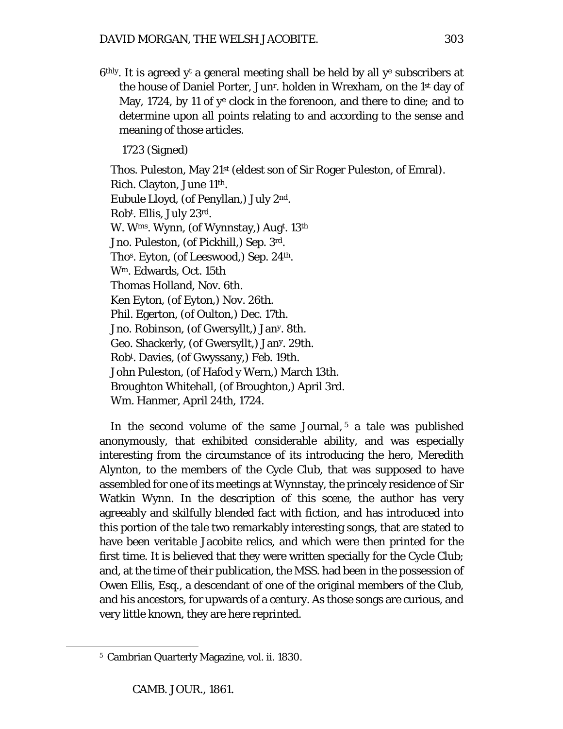$6<sup>thly</sup>$ . It is agreed y<sup>t</sup> a general meeting shall be held by all y<sup>e</sup> subscribers at the house of Daniel Porter, Junr. holden in Wrexham, on the 1st day of May, 1724, by 11 of ye clock in the forenoon, and there to dine; and to determine upon all points relating to and according to the sense and meaning of those articles.

1723 (Signed)

Thos. Puleston, May 21st (eldest son of Sir Roger Puleston, of Emral). Rich. Clayton, June 11th. Eubule Lloyd, (of Penyllan,) July 2nd. Robt . Ellis, July 23rd. W. Wms. Wynn, (of Wynnstay,) Augt . 13th Jno. Puleston, (of Pickhill,) Sep. 3rd. Thos. Eyton, (of Leeswood,) Sep. 24th. Wm. Edwards, Oct. 15th Thomas Holland, Nov. 6th. Ken Eyton, (of Eyton,) Nov. 26th. Phil. Egerton, (of Oulton,) Dec. 17th. Jno. Robinson, (of Gwersyllt,) Jany. 8th. Geo. Shackerly, (of Gwersyllt,) Jany. 29th. Robt . Davies, (of Gwyssany,) Feb. 19th. John Puleston, (of Hafod y Wern,) March 13th. Broughton Whitehall, (of Broughton,) April 3rd. Wm. Hanmer, April 24th, 1724.

In the second volume of the same Journal,  $5$  a tale was published anonymously, that exhibited considerable ability, and was especially interesting from the circumstance of its introducing the hero, Meredith Alynton, to the members of the Cycle Club, that was supposed to have assembled for one of its meetings at Wynnstay, the princely residence of Sir Watkin Wynn. In the description of this scene, the author has very agreeably and skilfully blended fact with fiction, and has introduced into this portion of the tale two remarkably interesting songs, that are stated to have been veritable Jacobite relics, and which were then printed for the first time. It is believed that they were written specially for the Cycle Club; and, at the time of their publication, the MSS. had been in the possession of Owen Ellis, Esq., a descendant of one of the original members of the Club, and his ancestors, for upwards of a century. As those songs are curious, and very little known, they are here reprinted.

<span id="page-8-0"></span><sup>5</sup> Cambrian Quarterly Magazine, vol. ii. 1830.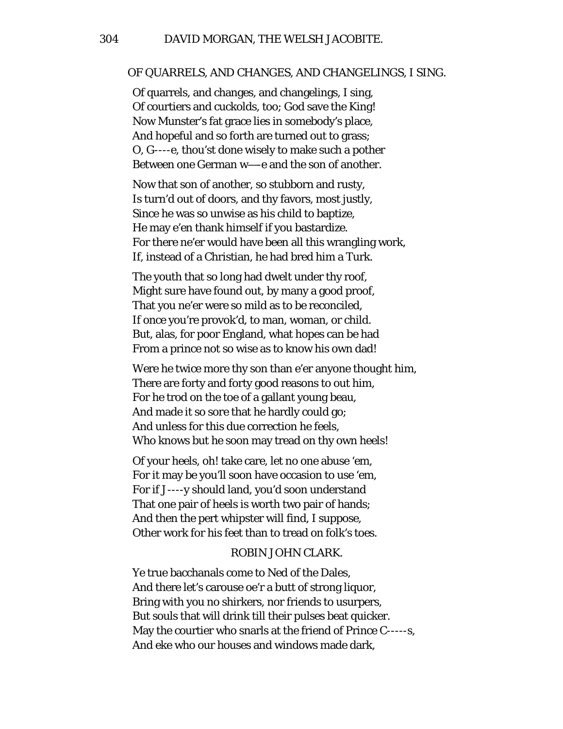#### OF QUARRELS, AND CHANGES, AND CHANGELINGS, I SING.

Of quarrels, and changes, and changelings, I sing, Of courtiers and cuckolds, too; God save the King! Now Munster's fat grace lies in somebody's place, And hopeful and so forth are turned out to grass; O, G----e, thou'st done wisely to make such a pother Between one German w—-e and the son of another.

Now that son of another, so stubborn and rusty, Is turn'd out of doors, and thy favors, most justly, Since he was so unwise as his child to baptize, He may e'en thank himself if you bastardize. For there ne'er would have been all this wrangling work, If, instead of a Christian, he had bred him a Turk.

The youth that so long had dwelt under thy roof, Might sure have found out, by many a good proof, That you ne'er were so mild as to be reconciled, If once you're provok'd, to man, woman, or child. But, alas, for poor England, what hopes can be had From a prince not so wise as to know his own dad!

Were he twice more thy son than e'er anyone thought him, There are forty and forty good reasons to out him, For he trod on the toe of a gallant young beau, And made it so sore that he hardly could go; And unless for this due correction he feels, Who knows but he soon may tread on thy own heels!

Of your heels, oh! take care, let no one abuse 'em, For it may be you'll soon have occasion to use 'em, For if J----y should land, you'd soon understand That one pair of heels is worth two pair of hands; And then the pert whipster will find, I suppose, Other work for his feet than to tread on folk's toes.

## ROBIN JOHN CLARK.

Ye true bacchanals come to Ned of the Dales, And there let's carouse oe'r a butt of strong liquor, Bring with you no shirkers, nor friends to usurpers, But souls that will drink till their pulses beat quicker. May the courtier who snarls at the friend of Prince C-----s, And eke who our houses and windows made dark,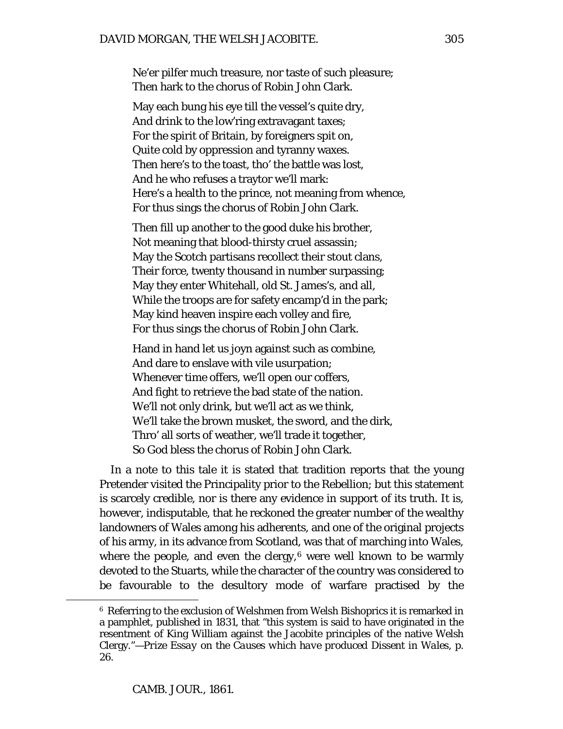Ne'er pilfer much treasure, nor taste of such pleasure; Then hark to the chorus of Robin John Clark.

May each bung his eye till the vessel's quite dry, And drink to the low'ring extravagant taxes; For the spirit of Britain, by foreigners spit on, Quite cold by oppression and tyranny waxes. Then here's to the toast, tho' the battle was lost, And he who refuses a traytor we'll mark: Here's a health to the prince, not meaning from whence, For thus sings the chorus of Robin John Clark.

Then fill up another to the good duke his brother, Not meaning that blood-thirsty cruel assassin; May the Scotch partisans recollect their stout clans, Their force, twenty thousand in number surpassing; May they enter Whitehall, old St. James's, and all, While the troops are for safety encamp'd in the park; May kind heaven inspire each volley and fire, For thus sings the chorus of Robin John Clark.

Hand in hand let us joyn against such as combine, And dare to enslave with vile usurpation; Whenever time offers, we'll open our coffers, And fight to retrieve the bad state of the nation. We'll not only drink, but we'll act as we think, We'll take the brown musket, the sword, and the dirk, Thro' all sorts of weather, we'll trade it together, So God bless the chorus of Robin John Clark.

In a note to this tale it is stated that tradition reports that the young Pretender visited the Principality prior to the Rebellion; but this statement is scarcely credible, nor is there any evidence in support of its truth. It is, however, indisputable, that he reckoned the greater number of the wealthy landowners of Wales among his adherents, and one of the original projects of his army, in its advance from Scotland, was that of marching into Wales, where the people, and even the clergy, $6$  were well known to be warmly devoted to the Stuarts, while the character of the country was considered to be favourable to the desultory mode of warfare practised by the

<span id="page-10-0"></span><sup>6</sup> Referring to the exclusion of Welshmen from Welsh Bishoprics it is remarked in a pamphlet, published in 1831, that "this system is said to have originated in the resentment of King William against the Jacobite principles of the native Welsh Clergy."—*Prize Essay on the Causes which have produced Dissent in Wales,* p. 26.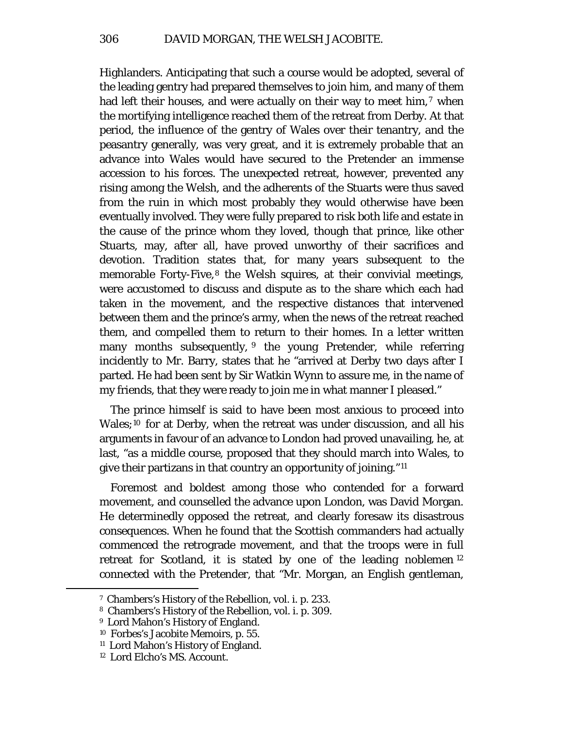Highlanders. Anticipating that such a course would be adopted, several of the leading gentry had prepared themselves to join him, and many of them had left their houses, and were actually on their way to meet him,<sup>[7](#page-11-0)</sup> when the mortifying intelligence reached them of the retreat from Derby. At that period, the influence of the gentry of Wales over their tenantry, and the peasantry generally, was very great, and it is extremely probable that an advance into Wales would have secured to the Pretender an immense accession to his forces. The unexpected retreat, however, prevented any rising among the Welsh, and the adherents of the Stuarts were thus saved from the ruin in which most probably they would otherwise have been eventually involved. They were fully prepared to risk both life and estate in the cause of the prince whom they loved, though that prince, like other Stuarts, may, after all, have proved unworthy of their sacrifices and devotion. Tradition states that, for many years subsequent to the memorable Forty-Five,<sup>[8](#page-11-1)</sup> the Welsh squires, at their convivial meetings, were accustomed to discuss and dispute as to the share which each had taken in the movement, and the respective distances that intervened between them and the prince's army, when the news of the retreat reached them, and compelled them to return to their homes. In a letter written many months subsequently, <sup>[9](#page-11-2)</sup> the young Pretender, while referring incidently to Mr. Barry, states that he "arrived at Derby two days after I parted. He had been sent by Sir Watkin Wynn to assure me, in the name of my friends, that they were ready to join me in what manner I pleased."

The prince himself is said to have been most anxious to proceed into Wales;<sup>[10](#page-11-3)</sup> for at Derby, when the retreat was under discussion, and all his arguments in favour of an advance to London had proved unavailing, he, at last, "as a middle course, proposed that they should march into Wales, to give their partizans in that country an opportunity of joining."[11](#page-11-4)

Foremost and boldest among those who contended for a forward movement, and counselled the advance upon London, was David Morgan. He determinedly opposed the retreat, and clearly foresaw its disastrous consequences. When he found that the Scottish commanders had actually commenced the retrograde movement, and that the troops were in full retreat for Scotland, it is stated by one of the leading noblemen [12](#page-11-5) connected with the Pretender, that "Mr. Morgan, an English gentleman,

<span id="page-11-0"></span><sup>7</sup> Chambers's History of the Rebellion, vol. i. p. 233.

<span id="page-11-1"></span><sup>8</sup> Chambers's History of the Rebellion, vol. i. p. 309.

<span id="page-11-3"></span><span id="page-11-2"></span><sup>&</sup>lt;sup>9</sup> Lord Mahon's History of England.

<sup>10</sup> Forbes's Jacobite Memoirs, p. 55.

<span id="page-11-4"></span><sup>11</sup> Lord Mahon's History of England.

<span id="page-11-5"></span><sup>12</sup> Lord Elcho's MS. Account.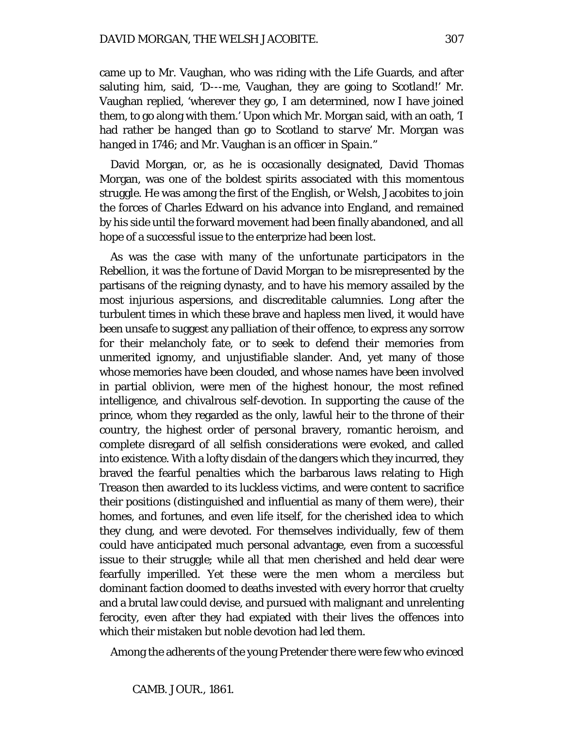came up to Mr. Vaughan, who was riding with the Life Guards, and after saluting him, said, 'D---me, Vaughan, they are going to Scotland!' Mr. Vaughan replied, 'wherever they go, I am determined, now I have joined them, to go along with them.' Upon which Mr. Morgan said, with an oath, 'I had rather be *hanged* than go to Scotland to *starve'* Mr. Morgan *was hanged* in 1746; and Mr. Vaughan *is an officer in Spain."*

David Morgan, or, as he is occasionally designated, David Thomas Morgan, was one of the boldest spirits associated with this momentous struggle. He was among the first of the English, or Welsh, Jacobites to join the forces of Charles Edward on his advance into England, and remained by his side until the forward movement had been finally abandoned, and all hope of a successful issue to the enterprize had been lost.

As was the case with many of the unfortunate participators in the Rebellion, it was the fortune of David Morgan to be misrepresented by the partisans of the reigning dynasty, and to have his memory assailed by the most injurious aspersions, and discreditable calumnies. Long after the turbulent times in which these brave and hapless men lived, it would have been unsafe to suggest any palliation of their offence, to express any sorrow for their melancholy fate, or to seek to defend their memories from unmerited ignomy, and unjustifiable slander. And, yet many of those whose memories have been clouded, and whose names have been involved in partial oblivion, were men of the highest honour, the most refined intelligence, and chivalrous self-devotion. In supporting the cause of the prince, whom they regarded as the only, lawful heir to the throne of their country, the highest order of personal bravery, romantic heroism, and complete disregard of all selfish considerations were evoked, and called into existence. With a lofty disdain of the dangers which they incurred, they braved the fearful penalties which the barbarous laws relating to High Treason then awarded to its luckless victims, and were content to sacrifice their positions (distinguished and influential as many of them were), their homes, and fortunes, and even life itself, for the cherished idea to which they clung, and were devoted. For themselves individually, few of them could have anticipated much personal advantage, even from a successful issue to their struggle; while all that men cherished and held dear were fearfully imperilled. Yet these were the men whom a merciless but dominant faction doomed to deaths invested with every horror that cruelty and a brutal law could devise, and pursued with malignant and unrelenting ferocity, even after they had expiated with their lives the offences into which their mistaken but noble devotion had led them.

Among the adherents of the young Pretender there were few who evinced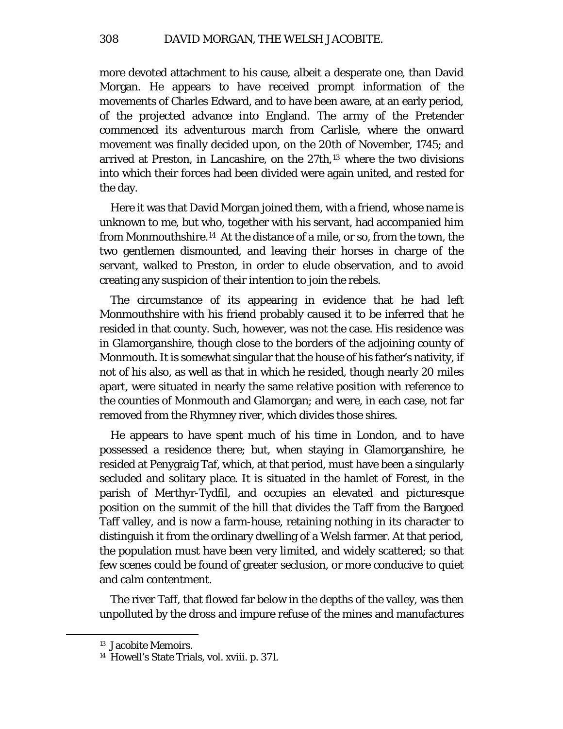more devoted attachment to his cause, albeit a desperate one, than David Morgan. He appears to have received prompt information of the movements of Charles Edward, and to have been aware, at an early period, of the projected advance into England. The army of the Pretender commenced its adventurous march from Carlisle, where the onward movement was finally decided upon, on the 20th of November, 1745; and arrived at Preston, in Lancashire, on the 27th,[13](#page-13-0) where the two divisions into which their forces had been divided were again united, and rested for the day.

Here it was that David Morgan joined them, with a friend, whose name is unknown to me, but who, together with his servant, had accompanied him from Monmouthshire.[14](#page-13-1) At the distance of a mile, or so, from the town, the two gentlemen dismounted, and leaving their horses in charge of the servant, walked to Preston, in order to elude observation, and to avoid creating any suspicion of their intention to join the rebels.

The circumstance of its appearing in evidence that he had left Monmouthshire with his friend probably caused it to be inferred that he resided in that county. Such, however, was not the case. His residence was in Glamorganshire, though close to the borders of the adjoining county of Monmouth. It is somewhat singular that the house of his father's nativity, if not of his also, as well as that in which he resided, though nearly 20 miles apart, were situated in nearly the same relative position with reference to the counties of Monmouth and Glamorgan; and were, in each case, not far removed from the Rhymney river, which divides those shires.

He appears to have spent much of his time in London, and to have possessed a residence there; but, when staying in Glamorganshire, he resided at Penygraig Taf, which, at that period, must have been a singularly secluded and solitary place. It is situated in the hamlet of Forest, in the parish of Merthyr-Tydfil, and occupies an elevated and picturesque position on the summit of the hill that divides the Taff from the Bargoed Taff valley, and is now a farm-house, retaining nothing in its character to distinguish it from the ordinary dwelling of a Welsh farmer. At that period, the population must have been very limited, and widely scattered; so that few scenes could be found of greater seclusion, or more conducive to quiet and calm contentment.

The river Taff, that flowed far below in the depths of the valley, was then unpolluted by the dross and impure refuse of the mines and manufactures

<span id="page-13-0"></span><sup>13</sup> Jacobite Memoirs.

<span id="page-13-1"></span><sup>14</sup> Howell's State Trials, vol. xviii. p. 371.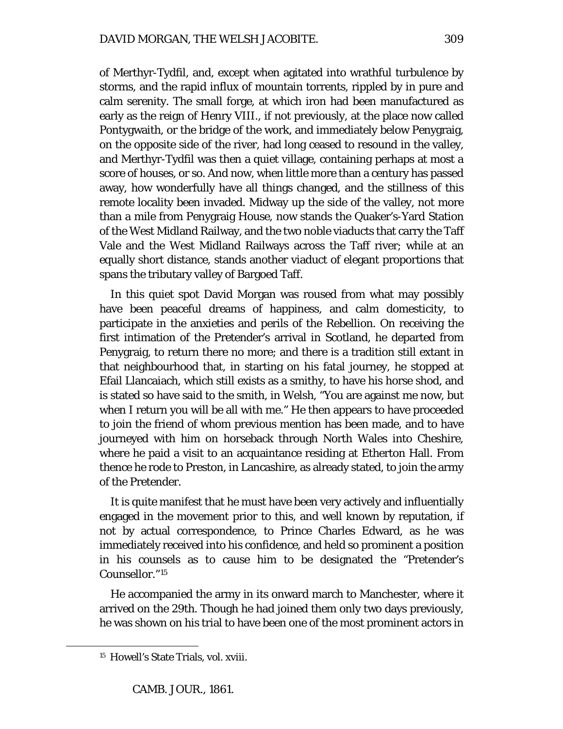of Merthyr-Tydfil, and, except when agitated into wrathful turbulence by storms, and the rapid influx of mountain torrents, rippled by in pure and calm serenity. The small forge, at which iron had been manufactured as early as the reign of Henry VIII., if not previously, at the place now called Pontygwaith, or the bridge of the work, and immediately below Penygraig, on the opposite side of the river, had long ceased to resound in the valley, and Merthyr-Tydfil was then a quiet village, containing perhaps at most a score of houses, or so. And now, when little more than a century has passed away, how wonderfully have all things changed, and the stillness of this remote locality been invaded. Midway up the side of the valley, not more than a mile from Penygraig House, now stands the Quaker's-Yard Station of the West Midland Railway, and the two noble viaducts that carry the Taff Vale and the West Midland Railways across the Taff river; while at an equally short distance, stands another viaduct of elegant proportions that spans the tributary valley of Bargoed Taff.

In this quiet spot David Morgan was roused from what may possibly have been peaceful dreams of happiness, and calm domesticity, to participate in the anxieties and perils of the Rebellion. On receiving the first intimation of the Pretender's arrival in Scotland, he departed from Penygraig, to return there no more; and there is a tradition still extant in that neighbourhood that, in starting on his fatal journey, he stopped at Efail Llancaiach, which still exists as a smithy, to have his horse shod, and is stated so have said to the smith, in Welsh, "You are against me now, but when I return you will be all with me." He then appears to have proceeded to join the friend of whom previous mention has been made, and to have journeyed with him on horseback through North Wales into Cheshire, where he paid a visit to an acquaintance residing at Etherton Hall. From thence he rode to Preston, in Lancashire, as already stated, to join the army of the Pretender.

It is quite manifest that he must have been very actively and influentially engaged in the movement prior to this, and well known by reputation, if not by actual correspondence, to Prince Charles Edward, as he was immediately received into his confidence, and held so prominent a position in his counsels as to cause him to be designated the "Pretender's Counsellor."[15](#page-14-0)

He accompanied the army in its onward march to Manchester, where it arrived on the 29th. Though he had joined them only two days previously, he was shown on his trial to have been one of the most prominent actors in

<span id="page-14-0"></span><sup>&</sup>lt;sup>15</sup> Howell's State Trials, vol. xviii.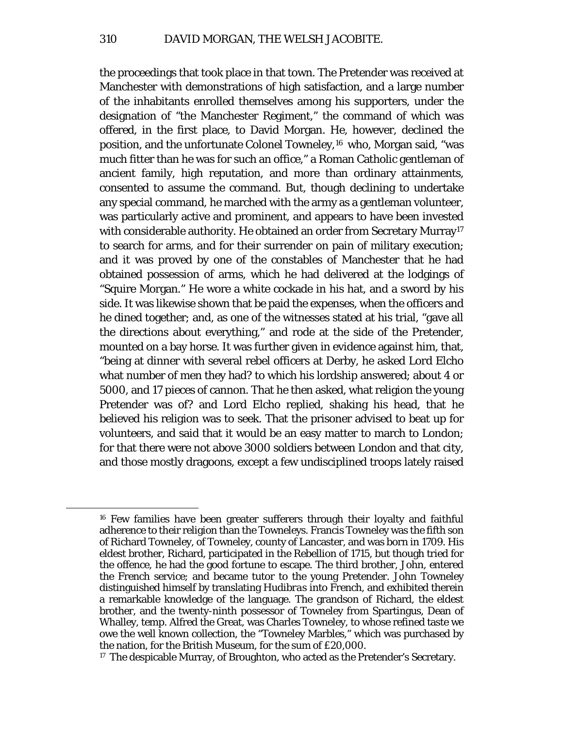the proceedings that took place in that town. The Pretender was received at Manchester with demonstrations of high satisfaction, and a large number of the inhabitants enrolled themselves among his supporters, under the designation of "the Manchester Regiment," the command of which was offered, in the first place, to David Morgan. He, however, declined the position, and the unfortunate Colonel Towneley,<sup>[16](#page-15-0)</sup> who, Morgan said, "was much fitter than he was for such an office," a Roman Catholic gentleman of ancient family, high reputation, and more than ordinary attainments, consented to assume the command. But, though declining to undertake any special command, he marched with the army as a gentleman volunteer, was particularly active and prominent, and appears to have been invested with considerable authority. He obtained an order from Secretary Murray<sup>17</sup> to search for arms, and for their surrender on pain of military execution; and it was proved by one of the constables of Manchester that he had obtained possession of arms, which he had delivered at the lodgings of "Squire Morgan." He wore a white cockade in his hat, and a sword by his side. It was likewise shown that be paid the expenses, when the officers and he dined together; and, as one of the witnesses stated at his trial, "gave all the directions about everything," and rode at the side of the Pretender, mounted on a bay horse. It was further given in evidence against him, that, "being at dinner with several rebel officers at Derby, he asked Lord Elcho what number of men they had? to which his lordship answered; about 4 or 5000, and 17 pieces of cannon. That he then asked, what religion the young Pretender was of? and Lord Elcho replied, shaking his head, that he believed his religion was to seek. That the prisoner advised to beat up for volunteers, and said that it would be an easy matter to march to London; for that there were not above 3000 soldiers between London and that city, and those mostly dragoons, except a few undisciplined troops lately raised

<span id="page-15-0"></span><sup>16</sup> Few families have been greater sufferers through their loyalty and faithful adherence to their religion than the Towneleys. Francis Towneley was the fifth son of Richard Towneley, of Towneley, county of Lancaster, and was born in 1709. His eldest brother, Richard, participated in the Rebellion of 1715, but though tried for the offence, he had the good fortune to escape. The third brother, John, entered the French service; and became tutor to the young Pretender. John Towneley distinguished himself by translating *Hudibras* into French, and exhibited therein a remarkable knowledge of the language. The grandson of Richard, the eldest brother, and the twenty-ninth possessor of Towneley from Spartingus, Dean of Whalley, *temp.* Alfred the Great, was Charles Towneley, to whose refined taste we owe the well known collection, the "Towneley Marbles," which was purchased by the nation, for the British Museum, for the sum of £20,000.

<span id="page-15-1"></span><sup>&</sup>lt;sup>17</sup> The despicable Murray, of Broughton, who acted as the Pretender's Secretary.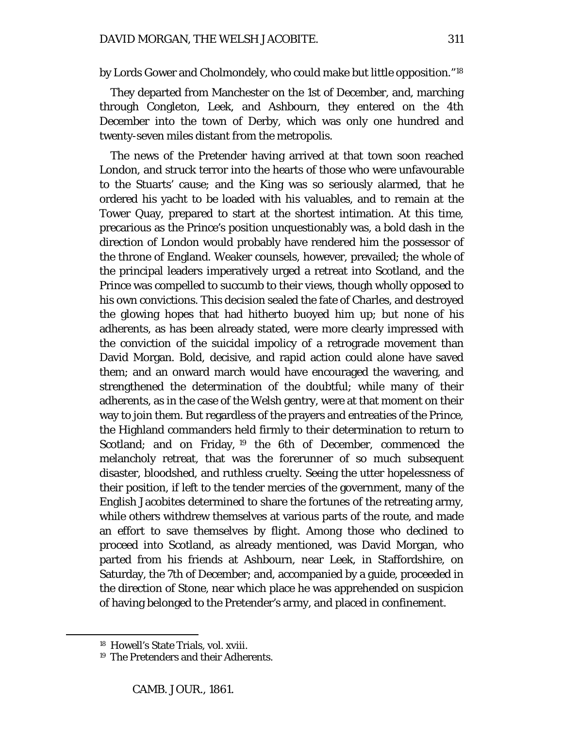by Lords Gower and Cholmondely, who could make but little opposition."[18](#page-16-0)

They departed from Manchester on the 1st of December, and, marching through Congleton, Leek, and Ashbourn, they entered on the 4th December into the town of Derby, which was only one hundred and twenty-seven miles distant from the metropolis.

The news of the Pretender having arrived at that town soon reached London, and struck terror into the hearts of those who were unfavourable to the Stuarts' cause; and the King was so seriously alarmed, that he ordered his yacht to be loaded with his valuables, and to remain at the Tower Quay, prepared to start at the shortest intimation. At this time, precarious as the Prince's position unquestionably was, a bold dash in the direction of London would probably have rendered him the possessor of the throne of England. Weaker counsels, however, prevailed; the whole of the principal leaders imperatively urged a retreat into Scotland, and the Prince was compelled to succumb to their views, though wholly opposed to his own convictions. This decision sealed the fate of Charles, and destroyed the glowing hopes that had hitherto buoyed him up; but none of his adherents, as has been already stated, were more clearly impressed with the conviction of the suicidal impolicy of a retrograde movement than David Morgan. Bold, decisive, and rapid action could alone have saved them; and an onward march would have encouraged the wavering, and strengthened the determination of the doubtful; while many of their adherents, as in the case of the Welsh gentry, were at that moment on their way to join them. But regardless of the prayers and entreaties of the Prince, the Highland commanders held firmly to their determination to return to Scotland; and on Friday, <sup>[19](#page-16-1)</sup> the 6th of December, commenced the melancholy retreat, that was the forerunner of so much subsequent disaster, bloodshed, and ruthless cruelty. Seeing the utter hopelessness of their position, if left to the tender mercies of the government, many of the English Jacobites determined to share the fortunes of the retreating army, while others withdrew themselves at various parts of the route, and made an effort to save themselves by flight. Among those who declined to proceed into Scotland, as already mentioned, was David Morgan, who parted from his friends at Ashbourn, near Leek, in Staffordshire, on Saturday, the 7th of December; and, accompanied by a guide, proceeded in the direction of Stone, near which place he was apprehended on suspicion of having belonged to the Pretender's army, and placed in confinement.

<span id="page-16-1"></span><span id="page-16-0"></span><sup>18</sup> Howell's State Trials, vol. xviii.

<sup>19</sup> The Pretenders and their Adherents.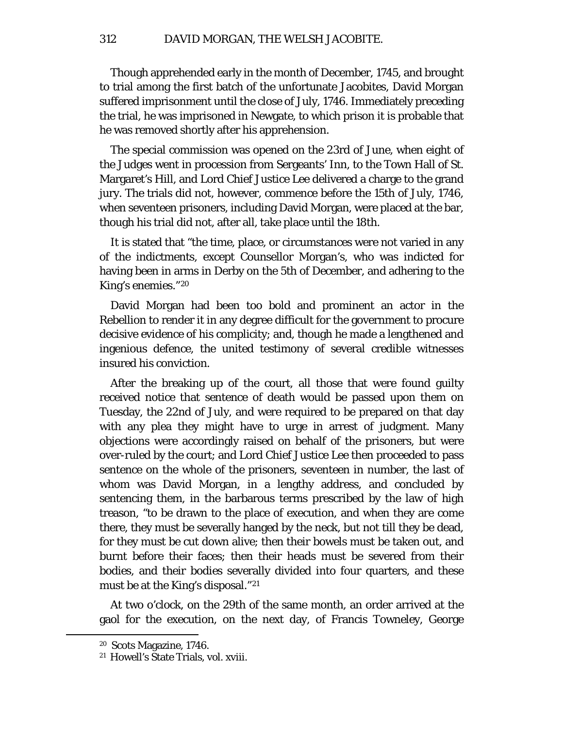Though apprehended early in the month of December, 1745, and brought to trial among the first batch of the unfortunate Jacobites, David Morgan suffered imprisonment until the close of July, 1746. Immediately preceding the trial, he was imprisoned in Newgate, to which prison it is probable that he was removed shortly after his apprehension.

The special commission was opened on the 23rd of June, when eight of the Judges went in procession from Sergeants' Inn, to the Town Hall of St. Margaret's Hill, and Lord Chief Justice Lee delivered a charge to the grand jury. The trials did not, however, commence before the 15th of July, 1746, when seventeen prisoners, including David Morgan, were placed at the bar, though his trial did not, after all, take place until the 18th.

It is stated that "the time, place, or circumstances were not varied in any of the indictments, except Counsellor Morgan's, who was indicted for having been in arms in Derby on the 5th of December, and adhering to the King's enemies."[20](#page-17-0)

David Morgan had been too bold and prominent an actor in the Rebellion to render it in any degree difficult for the government to procure decisive evidence of his complicity; and, though he made a lengthened and ingenious defence, the united testimony of several credible witnesses insured his conviction.

After the breaking up of the court, all those that were found guilty received notice that sentence of death would be passed upon them on Tuesday, the 22nd of July, and were required to be prepared on that day with any plea they might have to urge in arrest of judgment. Many objections were accordingly raised on behalf of the prisoners, but were over-ruled by the court; and Lord Chief Justice Lee then proceeded to pass sentence on the whole of the prisoners, seventeen in number, the last of whom was David Morgan, in a lengthy address, and concluded by sentencing them, in the barbarous terms prescribed by the law of high treason, "to be drawn to the place of execution, and when they are come there, they must be severally hanged by the neck, but not till they be dead, for they must be cut down alive; then their bowels must be taken out, and burnt before their faces; then their heads must be severed from their bodies, and their bodies severally divided into four quarters, and these must be at the King's disposal."[21](#page-17-1)

At two o'clock, on the 29th of the same month, an order arrived at the gaol for the execution, on the next day, of Francis Towneley, George

<span id="page-17-0"></span><sup>20</sup> Scots Magazine, 1746.

<span id="page-17-1"></span><sup>21</sup> Howell's State Trials, vol. xviii.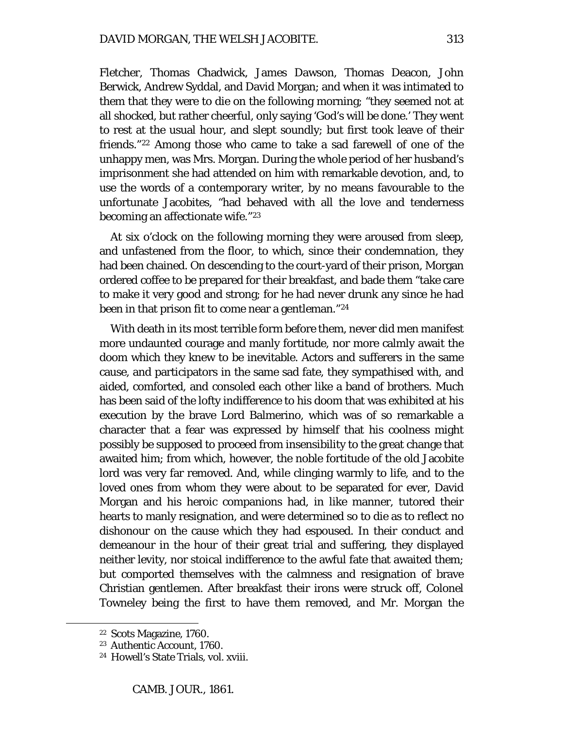Fletcher, Thomas Chadwick, James Dawson, Thomas Deacon, John Berwick, Andrew Syddal, and David Morgan; and when it was intimated to them that they were to die on the following morning; "they seemed not at all shocked, but rather cheerful, only saying 'God's will be done.' They went to rest at the usual hour, and slept soundly; but first took leave of their friends."[22](#page-18-0) Among those who came to take a sad farewell of one of the unhappy men, was Mrs. Morgan. During the whole period of her husband's imprisonment she had attended on him with remarkable devotion, and, to use the words of a contemporary writer, by no means favourable to the unfortunate Jacobites, "had behaved with all the love and tenderness becoming an affectionate wife."[23](#page-18-1)

At six o'clock on the following morning they were aroused from sleep, and unfastened from the floor, to which, since their condemnation, they had been chained. On descending to the court-yard of their prison, Morgan ordered coffee to be prepared for their breakfast, and bade them "take care to make it very good and strong; for he had never drunk any since he had been in that prison fit to come near a gentleman."[24](#page-18-2)

With death in its most terrible form before them, never did men manifest more undaunted courage and manly fortitude, nor more calmly await the doom which they knew to be inevitable. Actors and sufferers in the same cause, and participators in the same sad fate, they sympathised with, and aided, comforted, and consoled each other like a band of brothers. Much has been said of the lofty indifference to his doom that was exhibited at his execution by the brave Lord Balmerino, which was of so remarkable a character that a fear was expressed by himself that his coolness might possibly be supposed to proceed from insensibility to the great change that awaited him; from which, however, the noble fortitude of the old Jacobite lord was very far removed. And, while clinging warmly to life, and to the loved ones from whom they were about to be separated for ever, David Morgan and his heroic companions had, in like manner, tutored their hearts to manly resignation, and were determined so to die as to reflect no dishonour on the cause which they had espoused. In their conduct and demeanour in the hour of their great trial and suffering, they displayed neither levity, nor stoical indifference to the awful fate that awaited them; but comported themselves with the calmness and resignation of brave Christian gentlemen. After breakfast their irons were struck off, Colonel Towneley being the first to have them removed, and Mr. Morgan the

<span id="page-18-0"></span><sup>22</sup> Scots Magazine, 1760.

<span id="page-18-1"></span><sup>23</sup> Authentic Account, 1760.

<span id="page-18-2"></span><sup>24</sup> Howell's State Trials, vol. xviii.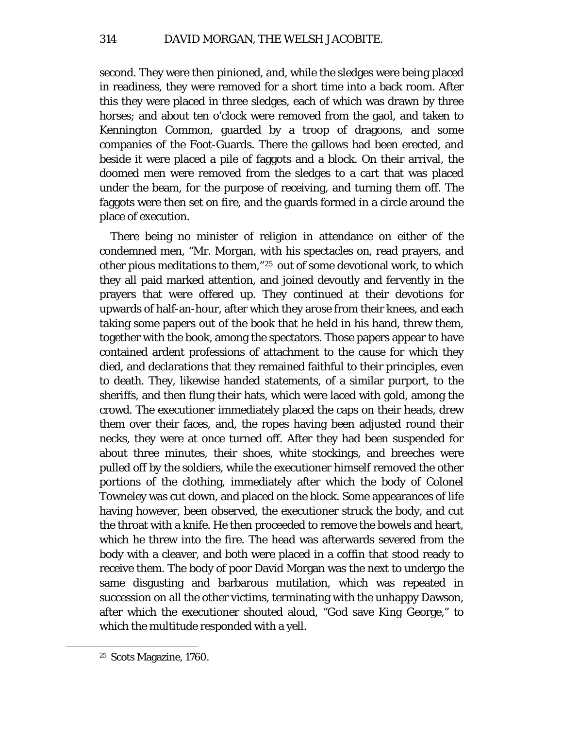second. They were then pinioned, and, while the sledges were being placed in readiness, they were removed for a short time into a back room. After this they were placed in three sledges, each of which was drawn by three horses; and about ten o'clock were removed from the gaol, and taken to Kennington Common, guarded by a troop of dragoons, and some companies of the Foot-Guards. There the gallows had been erected, and beside it were placed a pile of faggots and a block. On their arrival, the doomed men were removed from the sledges to a cart that was placed under the beam, for the purpose of receiving, and turning them off. The faggots were then set on fire, and the guards formed in a circle around the place of execution.

There being no minister of religion in attendance on either of the condemned men, "Mr. Morgan, with his spectacles on, read prayers, and other pious meditations to them,"[25](#page-19-0) out of some devotional work, to which they all paid marked attention, and joined devoutly and fervently in the prayers that were offered up. They continued at their devotions for upwards of half-an-hour, after which they arose from their knees, and each taking some papers out of the book that he held in his hand, threw them, together with the book, among the spectators. Those papers appear to have contained ardent professions of attachment to the cause for which they died, and declarations that they remained faithful to their principles, even to death. They, likewise handed statements, of a similar purport, to the sheriffs, and then flung their hats, which were laced with gold, among the crowd. The executioner immediately placed the caps on their heads, drew them over their faces, and, the ropes having been adjusted round their necks, they were at once turned off. After they had been suspended for about three minutes, their shoes, white stockings, and breeches were pulled off by the soldiers, while the executioner himself removed the other portions of the clothing, immediately after which the body of Colonel Towneley was cut down, and placed on the block. Some appearances of life having however, been observed, the executioner struck the body, and cut the throat with a knife. He then proceeded to remove the bowels and heart, which he threw into the fire. The head was afterwards severed from the body with a cleaver, and both were placed in a coffin that stood ready to receive them. The body of poor David Morgan was the next to undergo the same disgusting and barbarous mutilation, which was repeated in succession on all the other victims, terminating with the unhappy Dawson, after which the executioner shouted aloud, "God save King George," to which the multitude responded with a yell.

<span id="page-19-0"></span><sup>25</sup> Scots Magazine, 1760.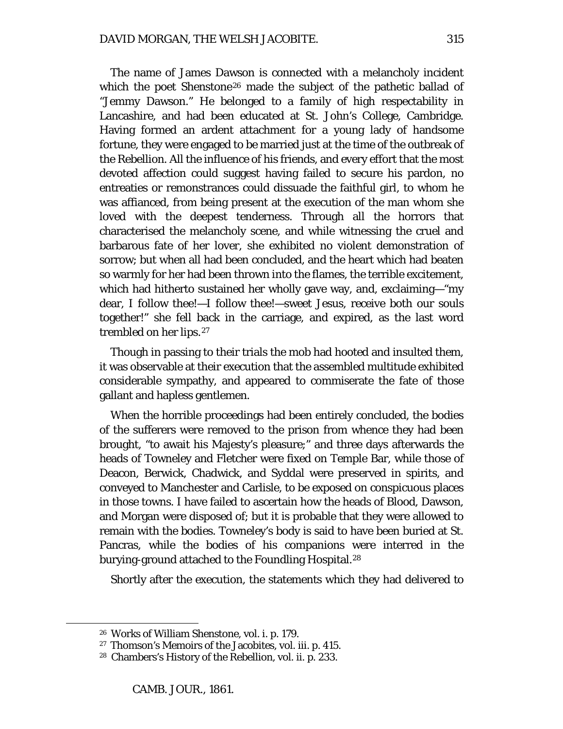The name of James Dawson is connected with a melancholy incident which the poet Shenstone<sup>[26](#page-20-0)</sup> made the subject of the pathetic ballad of "Jemmy Dawson." He belonged to a family of high respectability in Lancashire, and had been educated at St. John's College, Cambridge. Having formed an ardent attachment for a young lady of handsome fortune, they were engaged to be married just at the time of the outbreak of the Rebellion. All the influence of his friends, and every effort that the most devoted affection could suggest having failed to secure his pardon, no entreaties or remonstrances could dissuade the faithful girl, to whom he was affianced, from being present at the execution of the man whom she loved with the deepest tenderness. Through all the horrors that characterised the melancholy scene, and while witnessing the cruel and barbarous fate of her lover, she exhibited no violent demonstration of sorrow; but when all had been concluded, and the heart which had beaten so warmly for her had been thrown into the flames, the terrible excitement, which had hitherto sustained her wholly gave way, and, exclaiming—"my dear, I follow thee!—I follow thee!—sweet Jesus, receive both our souls together!" she fell back in the carriage, and expired, as the last word trembled on her lips.[27](#page-20-1)

Though in passing to their trials the mob had hooted and insulted them, it was observable at their execution that the assembled multitude exhibited considerable sympathy, and appeared to commiserate the fate of those gallant and hapless gentlemen.

When the horrible proceedings had been entirely concluded, the bodies of the sufferers were removed to the prison from whence they had been brought, "to await his Majesty's pleasure;" and three days afterwards the heads of Towneley and Fletcher were fixed on Temple Bar, while those of Deacon, Berwick, Chadwick, and Syddal were preserved in spirits, and conveyed to Manchester and Carlisle, to be exposed on conspicuous places in those towns. I have failed to ascertain how the heads of Blood, Dawson, and Morgan were disposed of; but it is probable that they were allowed to remain with the bodies. Towneley's body is said to have been buried at St. Pancras, while the bodies of his companions were interred in the burying-ground attached to the Foundling Hospital.<sup>[28](#page-20-2)</sup>

Shortly after the execution, the statements which they had delivered to

<span id="page-20-0"></span><sup>26</sup> Works of William Shenstone, vol. i. p. 179.

<span id="page-20-1"></span><sup>27</sup> Thomson's Memoirs of the Jacobites, vol. iii. p. 415.

<span id="page-20-2"></span><sup>28</sup> Chambers's History of the Rebellion, vol. ii. p. 233.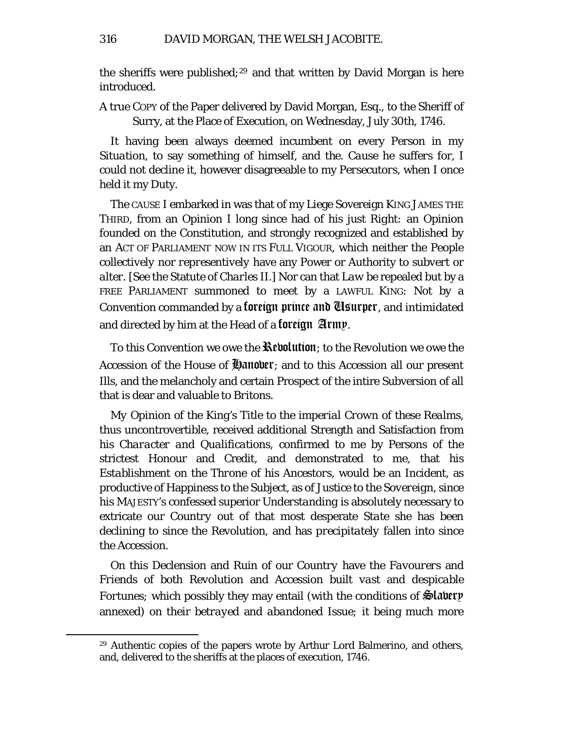the sheriffs were published;<sup>[29](#page-21-0)</sup> and that written by David Morgan is here introduced.

A true COPY of the Paper delivered by David Morgan, Esq., to the Sheriff of Surry, at the Place of Execution, on Wednesday, July 30th, 1746.

It having been always deemed incumbent on every Person in my *Situation,* to say something of himself, and *the. Cause* he *suffers* for, I could not decline it, however disagreeable to my *Persecutors,* when I once held it my Duty.

The CAUSE I embarked in was that of my Liege Sovereign KING JAMES THE THIRD, from an Opinion I long since had of his *just Right:* an Opinion founded on the *Constitution,* and strongly recognized and established by an ACT OF PARLIAMENT NOW IN ITS FULL VIGOUR, which neither the People *collectively* nor *representively* have any Power or Authority to *subvert* or *alter.* [See the Statute of *Charles II.*] Nor can that *Law* be repealed but by a FREE PARLIAMENT summoned to meet by a LAWFUL KING: Not by a Convention commanded by a **foreign prince and Usurper**, and intimidated and directed by *him* at the Head of a foreign Army.

To this *Convention* we owe the Revolution; to the *Revolution* we owe the *Accession* of the House of **Hanover**; and to this *Accession* all our present Ills, and the melancholy and certain Prospect of the intire Subversion of all that is dear and valuable to *Britons.*

*My Opinion of the King's Title* to the *imperial Crown of these Realms,*  thus uncontrovertible, received additional Strength and Satisfaction from his *Character and Qualifications,* confirmed to me by Persons of the strictest Honour and Credit, and demonstrated to me, that *his Establishment* on the *Throne* of his *Ancestors,* would be an *Incident,* as productive of Happiness to the *Subject,* as of Justice to the *Sovereign,* since his MAJESTY's confessed superior *Understanding* is absolutely necessary to extricate our *Country* out of that most desperate *State* she has been declining to since the *Revolution,* and has *precipitately* fallen into since the *Accession.*

On this Declension and Ruin of our *Country* have the *Favourers* and *Friends* of both *Revolution* and *Accession* built *vast* and *despicable Fortunes;* which possibly they may entail (with the conditions of **Slatery** annexed) on their *betrayed* and *abandoned Issue;* it being much more

<span id="page-21-0"></span><sup>29</sup> Authentic copies of the papers wrote by Arthur Lord Balmerino, and others, and, delivered to the sheriffs at the places of execution, 1746.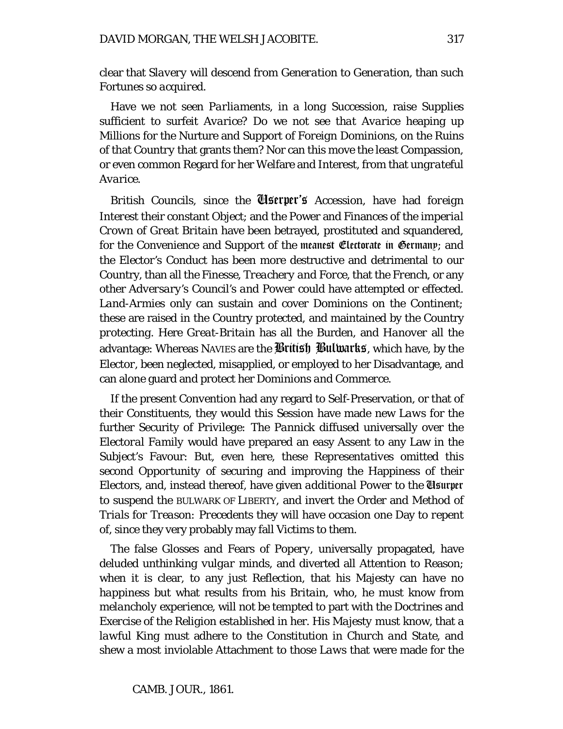clear that *Slavery* will descend *from Generation to Generation,* than such Fortunes so *acquired.*

Have we not seen *Parliaments,* in a *long Succession,* raise *Supplies*  sufficient to surfeit *Avarice?* Do we not see *that Avarice* heaping up *Millions* for the Nurture and Support of *Foreign Dominions,* on the Ruins of that *Country* that grants them? Nor can this move the least Compassion, or even common Regard for her Welfare and Interest, from that *ungrateful Avarice.*

*British Councils,* since the Userper's *Accession,* have had *foreign Interest* their constant Object; and the Power and Finances of the *imperial Crown of Great Britain* have been betrayed, prostituted and squandered, for the Convenience and Support of the meanest Electorate in Germany; and the *Elector's* Conduct has been more destructive and detrimental to our Country, than all the *Finesse, Treachery and Force,* that the *French,* or any other *Adversary's Council's and Power* could have attempted or effected. *Land-Armies* only can sustain and cover Dominions on the *Continent;*  these are raised in the Country *protected,* and maintained by the Country *protecting.* Here *Great-Britain* has all the Burden, and *Hanover* all the advantage: Whereas NAVIES are the British Bulwarks, which have, by the *Elector,* been neglected, misapplied, or employed to her Disadvantage, and can alone guard and protect her *Dominions and Commerce.*

If the present *Convention* had any regard to Self-Preservation, or that of their Constituents, they would *this Session* have made new *Laws* for the further Security of *Privilege:* The *Pannick* diffused universally over the *Electoral Family* would have prepared an easy Assent to any Law in the Subject's Favour: But, even here, these *Representatives* omitted this *second Opportunity* of securing and improving the Happiness of their Electors, and, instead thereof, have given *additional Power* to the Usurper to suspend the BULWARK OF LIBERTY, and invert the Order and Method of *Trials for Treason: Precedents* they will have occasion one Day to *repent of,* since they very probably may fall *Victims to them.*

The false Glosses and Fears of *Popery,* universally propagated, have deluded *unthinking vulgar* minds, and diverted all Attention to Reason; when it is clear, to any just Reflection, that his Majesty can have no *happiness* but what results from *his Britain,* who, he must know from *melancholy experience,* will not be tempted to part with the *Doctrines* and *Exercise* of the *Religion established* in her. His *Majesty* must know, that a *lawful King* must adhere to the *Constitution in Church and State,* and shew a most inviolable Attachment to those *Laws* that were made for the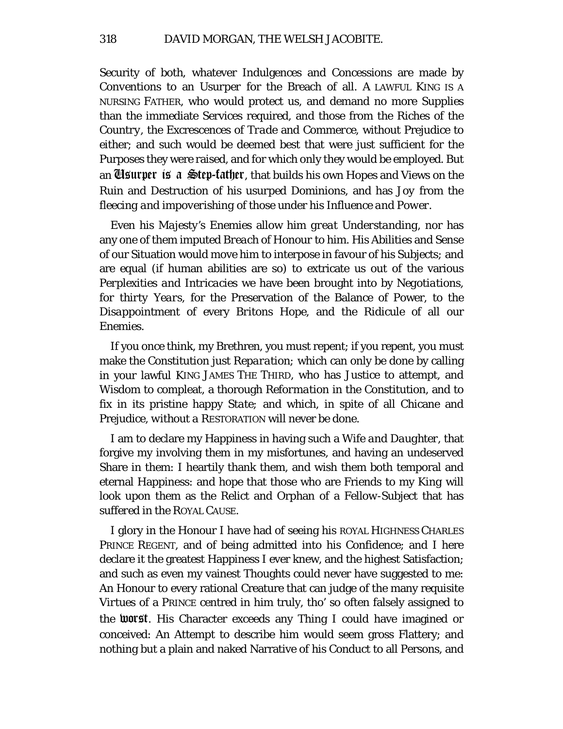Security of *both,* whatever Indulgences and Concessions are made by *Conventions* to an *Usurper* for the Breach of all. A LAWFUL KING IS A NURSING FATHER, who would protect us, and demand no more *Supplies*  than the immediate Services required, and those from the Riches of the *Country,* the Excrescences of *Trade* and *Commerce,* without Prejudice to either; and such would be deemed best that were just sufficient for the Purposes they were raised, and for which only they would be employed. But an Usurper is a Step-father*,* that builds his own Hopes and Views on the Ruin and Destruction of his *usurped Dominions,* and has *Joy* from the *fleecing and impoverishing* of those under his *Influence and Power.*

Even his *Majesty's Enemies* allow him *great Understanding,* nor has any one of them imputed *Breach of Honour* to him. His Abilities and Sense of our Situation would move *him* to interpose in favour of his *Subjects;* and are equal (if human abilities are so) to extricate us out of the various *Perplexities and Intricacies* we have been brought into by *Negotiations, for thirty Years,* for the Preservation of the Balance of Power, to the *Disappointment* of every *Britons* Hope, and the *Ridicule* of all our *Enemies.*

If you once think, my Brethren, you must repent; if you repent, you must make the *Constitution just Reparation;* which can only be done by calling in your lawful KING JAMES THE THIRD, who has *Justice* to attempt, and *Wisdom* to compleat, a thorough *Reformation* in the Constitution, and to fix in its pristine happy *State;* and which, in spite of all Chicane and Prejudice, *without a* RESTORATION will never be done.

I am to declare my Happiness in having such a *Wife and Daughter,* that forgive my involving them in my misfortunes, and having an undeserved Share in them: I heartily thank them, and wish them both temporal and eternal Happiness: and hope that those who are Friends to my *King* will look upon them as the Relict and Orphan of a *Fellow-Subject* that has *suffered* in the ROYAL CAUSE.

I glory in the Honour I have had of seeing his ROYAL HIGHNESS CHARLES PRINCE REGENT, and of being admitted into his Confidence; and I here declare it the greatest Happiness I ever knew, and the highest Satisfaction; and such as even my vainest Thoughts could never have suggested to me: An Honour to every rational Creature that can judge of the many requisite *Virtues* of a PRINCE centred in him truly, tho' so often falsely assigned to the worst. His Character exceeds any Thing I could have imagined or conceived: An Attempt to describe him would seem gross Flattery; and nothing but a plain and naked Narrative of his Conduct to all Persons, and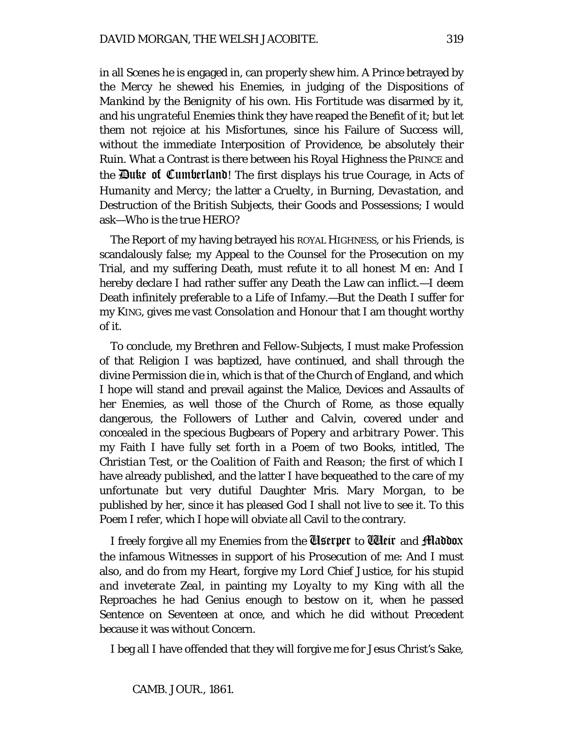in all Scenes he is engaged in, can properly shew him. *A Prince* betrayed by the *Mercy* he shewed his Enemies, in judging of the Dispositions of *Mankind* by the *Benignity* of his own. His *Fortitude* was disarmed by it, and *his ungrateful Enemies* think they have reaped the Benefit of it; but let them not rejoice at *his Misfortunes,* since his Failure of Success will, without the immediate Interposition of *Providence,* be absolutely their *Ruin.* What a Contrast is there between his Royal Highness the PRINCE and the Duke of Cumberland! The first displays his *true Courage,* in Acts of *Humanity* and *Mercy;* the latter a *Cruelty,* in *Burning, Devastation,* and *Destruction* of the *British* Subjects, their Goods and Possessions; I would ask—Who is the true HERO?

The Report of my having betrayed his ROYAL HIGHNESS, or his Friends, is scandalously false; my Appeal to the Counsel for the Prosecution on my Trial, and my suffering Death, must refute it to all honest M en: And I hereby declare I had rather suffer any Death the Law can inflict.—I deem Death infinitely preferable to a Life of Infamy.—But the Death I suffer for my KING, gives me vast *Consolation and Honour* that I am thought worthy of it.

To conclude, my *Brethren* and *Fellow-Subjects,* I must make Profession of that Religion I was baptized, have continued, and shall through the divine Permission die in, which is that of the *Church* of England, and which I hope will stand and prevail against the Malice, Devices and Assaults of her Enemies, as well those of the *Church of* Rome, as those equally dangerous, the Followers of *Luther* and *Calvin,* covered under and concealed in the specious Bugbears of *Popery and arbitrary Power.* This my Faith I have fully set forth in a *Poem* of two Books, intitled, *The Christian Test, or the Coalition of Faith and Reason;* the first of which I have already published, and the latter I have bequeathed to the care of my unfortunate but very dutiful Daughter Mris. *Mary Morgan,* to be published by her, since it has pleased God I shall not live to see it. To this *Poem* I refer, which I hope will obviate all Cavil to the contrary.

I freely forgive all my Enemies from the Userper to Weir and Maddox the infamous Witnesses in support of his Prosecution of me: And I must also, and do from my Heart, forgive my *Lord Chief Justice,* for his *stupid and inveterate Zeal,* in painting *my Loyalty to my King* with all the Reproaches he had Genius enough to bestow on it, when he passed Sentence on Seventeen at once, and which he did without Precedent because it was without Concern.

I beg all I have offended that they will forgive me for *Jesus Christ's* Sake,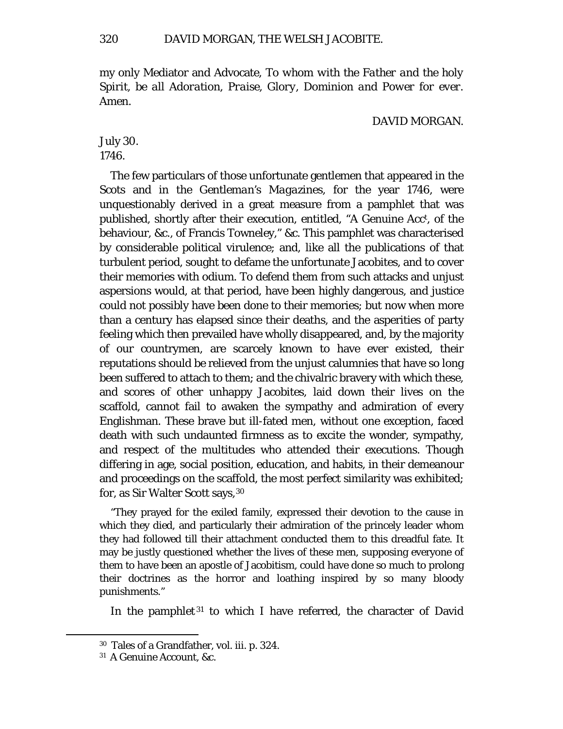my only Mediator and Advocate, *To whom with the Father and the holy Spirit, be all Adoration, Praise, Glory, Dominion and Power for ever.*  Amen.

#### DAVID MORGAN.

July 30. 1746.

The few particulars of those unfortunate gentlemen that appeared in the *Scots* and in the *Gentleman's Magazines,* for the year 1746, were unquestionably derived in a great measure from a pamphlet that was published, shortly after their execution, entitled, "A Genuine Acct , of the behaviour, &c., of Francis Towneley," &c. This pamphlet was characterised by considerable political virulence; and, like all the publications of that turbulent period, sought to defame the unfortunate Jacobites, and to cover their memories with odium. To defend them from such attacks and unjust aspersions would, at that period, have been highly dangerous, and justice could not possibly have been done to their memories; but now when more than a century has elapsed since their deaths, and the asperities of party feeling which then prevailed have wholly disappeared, and, by the majority of our countrymen, are scarcely known to have ever existed, their reputations should be relieved from the unjust calumnies that have so long been suffered to attach to them; and the chivalric bravery with which these, and scores of other unhappy Jacobites, laid down their lives on the scaffold, cannot fail to awaken the sympathy and admiration of every Englishman. These brave but ill-fated men, without one exception, faced death with such undaunted firmness as to excite the wonder, sympathy, and respect of the multitudes who attended their executions. Though differing in age, social position, education, and habits, in their demeanour and proceedings on the scaffold, the most perfect similarity was exhibited; for, as Sir Walter Scott says,[30](#page-25-0)

"They prayed for the exiled family, expressed their devotion to the cause in which they died, and particularly their admiration of the princely leader whom they had followed till their attachment conducted them to this dreadful fate. It may be justly questioned whether the lives of these men, supposing everyone of them to have been an apostle of Jacobitism, could have done so much to prolong their doctrines as the horror and loathing inspired by so many bloody punishments."

In the pamphlet<sup>[31](#page-25-1)</sup> to which I have referred, the character of David

<span id="page-25-0"></span><sup>30</sup> Tales of a Grandfather, vol. iii. p. 324.

<span id="page-25-1"></span><sup>31</sup> A Genuine Account, &c.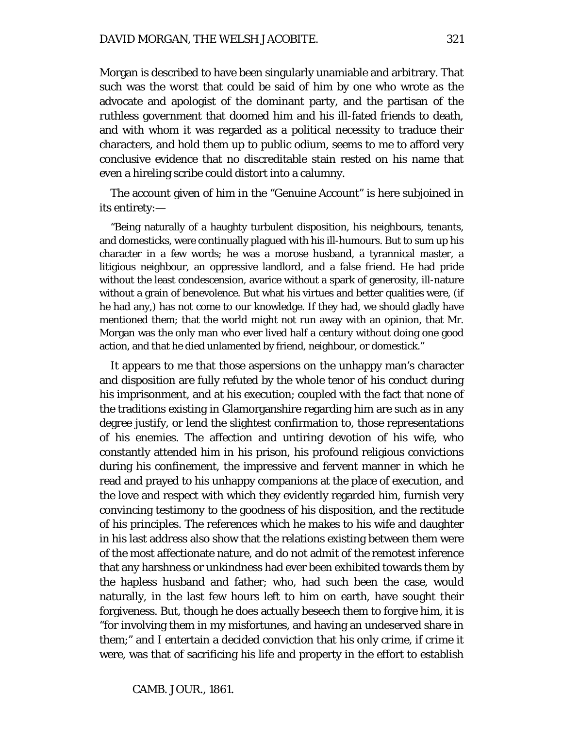Morgan is described to have been singularly unamiable and arbitrary. That such was the *worst* that could be said of him by one who wrote as the advocate and apologist of the dominant party, and the partisan of the ruthless government that doomed him and his ill-fated friends to death, and with whom it was regarded as a political necessity to traduce their characters, and hold them up to public odium, seems to me to afford very conclusive evidence that no discreditable stain rested on his name that even a hireling scribe could distort into a calumny.

The account given of him in the "Genuine Account" is here subjoined in its entirety:—

"Being naturally of a haughty turbulent disposition, his neighbours, tenants, and domesticks, were continually plagued with his ill-humours. But to sum up his character in a few words; he was a morose husband, a tyrannical master, a litigious neighbour, an oppressive landlord, and a false friend. He had pride without the least condescension, avarice without a spark of generosity, ill-nature without a grain of benevolence. But what his virtues and better qualities were, (if he had any,) has not come to our knowledge. If they had, we should gladly have mentioned them; that the world might not run away with an opinion, that Mr. Morgan was the only man who ever lived half a century without doing one good action, and that he died unlamented by friend, neighbour, or domestick."

It appears to me that those aspersions on the unhappy man's character and disposition are fully refuted by the whole tenor of his conduct during his imprisonment, and at his execution; coupled with the fact that none of the traditions existing in Glamorganshire regarding him are such as in any degree justify, or lend the slightest confirmation to, those representations of his enemies. The affection and untiring devotion of his wife, who constantly attended him in his prison, his profound religious convictions during his confinement, the impressive and fervent manner in which he read and prayed to his unhappy companions at the place of execution, and the love and respect with which they evidently regarded him, furnish very convincing testimony to the goodness of his disposition, and the rectitude of his principles. The references which he makes to his wife and daughter in his last address also show that the relations existing between them were of the most affectionate nature, and do not admit of the remotest inference that any harshness or unkindness had ever been exhibited towards them by the hapless husband and father; who, had such been the case, would naturally, in the last few hours left to him on earth, have sought their forgiveness. But, though he does actually beseech them to forgive him, it is "for involving them in my misfortunes, and having an undeserved share in them;" and I entertain a decided conviction that his only crime, if crime it were, was that of sacrificing his life and property in the effort to establish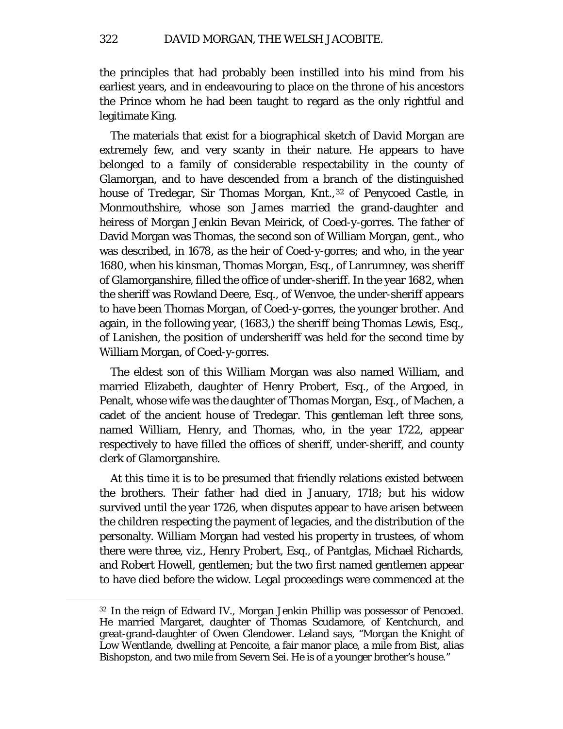the principles that had probably been instilled into his mind from his earliest years, and in endeavouring to place on the throne of his ancestors the Prince whom he had been taught to regard as the only rightful and legitimate King.

The materials that exist for a biographical sketch of David Morgan are extremely few, and very scanty in their nature. He appears to have belonged to a family of considerable respectability in the county of Glamorgan, and to have descended from a branch of the distinguished house of Tredegar, Sir Thomas Morgan, Knt.,<sup>[32](#page-27-0)</sup> of Penycoed Castle, in Monmouthshire, whose son James married the grand-daughter and heiress of Morgan Jenkin Bevan Meirick, of Coed-y-gorres. The father of David Morgan was Thomas, the second son of William Morgan, gent., who was described, in 1678, as the heir of Coed-y-gorres; and who, in the year 1680, when his kinsman, Thomas Morgan, Esq., of Lanrumney, was sheriff of Glamorganshire, filled the office of under-sheriff. In the year 1682, when the sheriff was Rowland Deere, Esq., of Wenvoe, the under-sheriff appears to have been Thomas Morgan, of Coed-y-gorres, the younger brother. And again, in the following year, (1683,) the sheriff being Thomas Lewis, Esq., of Lanishen, the position of undersheriff was held for the second time by William Morgan, of Coed-y-gorres.

The eldest son of this William Morgan was also named William, and married Elizabeth, daughter of Henry Probert, Esq., of the Argoed, in Penalt, whose wife was the daughter of Thomas Morgan, Esq., of Machen, a cadet of the ancient house of Tredegar. This gentleman left three sons, named William, Henry, and Thomas, who, in the year 1722, appear respectively to have filled the offices of sheriff, under-sheriff, and county clerk of Glamorganshire.

At this time it is to be presumed that friendly relations existed between the brothers. Their father had died in January, 1718; but his widow survived until the year 1726, when disputes appear to have arisen between the children respecting the payment of legacies, and the distribution of the personalty. William Morgan had vested his property in trustees, of whom there were three, viz., Henry Probert, Esq., of Pantglas, Michael Richards, and Robert Howell, gentlemen; but the two first named gentlemen appear to have died before the widow. Legal proceedings were commenced at the

<span id="page-27-0"></span><sup>32</sup> In the reign of Edward IV., Morgan Jenkin Phillip was possessor of Pencoed. He married Margaret, daughter of Thomas Scudamore, of Kentchurch, and great-grand-daughter of Owen Glendower. Leland says, "Morgan the Knight of Low Wentlande, dwelling at Pencoite, a fair manor place, a mile from Bist, alias Bishopston, and two mile from Severn Sei. He is of a younger brother's house."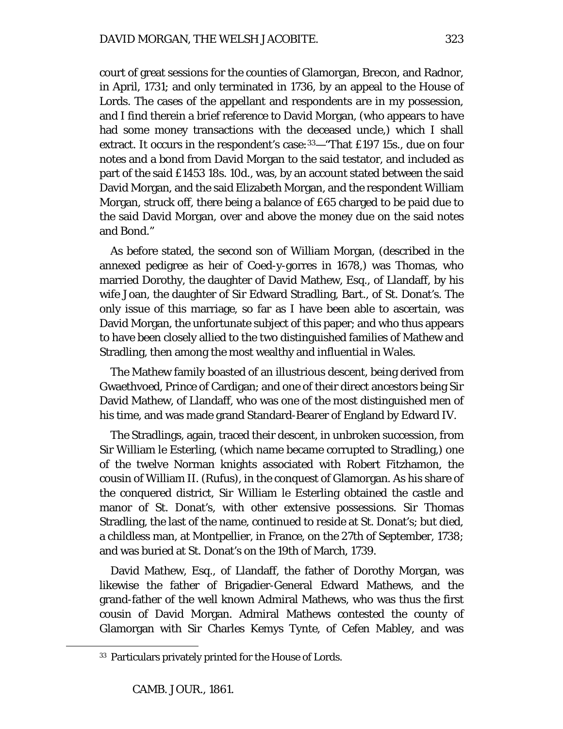court of great sessions for the counties of Glamorgan, Brecon, and Radnor, in April, 1731; and only terminated in 1736, by an appeal to the House of Lords. The cases of the appellant and respondents are in my possession, and I find therein a brief reference to David Morgan, (who appears to have had some money transactions with the deceased uncle,) which I shall extract. It occurs in the respondent's case:<sup>[33](#page-28-0)</sup>— "That £197 15s., due on four notes and a bond from David Morgan to the said testator, and included as part of the said £1453 18s. 10d., was, by an account stated between the said David Morgan, and the said Elizabeth Morgan, and the respondent William Morgan, struck off, there being a balance of £65 charged to be paid due to the said David Morgan, over and above the money due on the said notes and Bond."

As before stated, the second son of William Morgan, (described in the annexed pedigree as heir of Coed-y-gorres in 1678,) was Thomas, who married Dorothy, the daughter of David Mathew, Esq., of Llandaff, by his wife Joan, the daughter of Sir Edward Stradling, Bart., of St. Donat's. The only issue of this marriage, so far as I have been able to ascertain, was David Morgan, the unfortunate subject of this paper; and who thus appears to have been closely allied to the two distinguished families of Mathew and Stradling, then among the most wealthy and influential in Wales.

The Mathew family boasted of an illustrious descent, being derived from Gwaethvoed, Prince of Cardigan; and one of their direct ancestors being Sir David Mathew, of Llandaff, who was one of the most distinguished men of his time, and was made grand Standard-Bearer of England by Edward IV.

The Stradlings, again, traced their descent, in unbroken succession, from Sir William le Esterling, (which name became corrupted to Stradling,) one of the twelve Norman knights associated with Robert Fitzhamon, the cousin of William II. (Rufus), in the conquest of Glamorgan. As his share of the conquered district, Sir William le Esterling obtained the castle and manor of St. Donat's, with other extensive possessions. Sir Thomas Stradling, the last of the name, continued to reside at St. Donat's; but died, a childless man, at Montpellier, in France, on the 27th of September, 1738; and was buried at St. Donat's on the 19th of March, 1739.

David Mathew, Esq., of Llandaff, the father of Dorothy Morgan, was likewise the father of Brigadier-General Edward Mathews, and the grand-father of the well known Admiral Mathews, who was thus the first cousin of David Morgan. Admiral Mathews contested the county of Glamorgan with Sir Charles Kemys Tynte, of Cefen Mabley, and was

<span id="page-28-0"></span><sup>33</sup> Particulars privately printed for the House of Lords.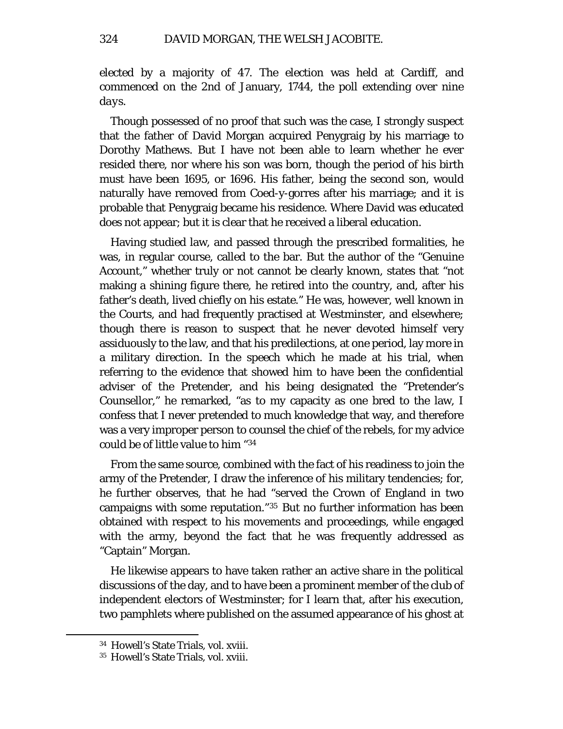elected by a majority of 47. The election was held at Cardiff, and commenced on the 2nd of January, 1744, the poll extending over *nine days.*

Though possessed of no proof that such was the case, I strongly suspect that the father of David Morgan acquired Penygraig by his marriage to Dorothy Mathews. But I have not been able to learn whether he ever resided there, nor where his son was born, though the period of his birth must have been 1695, or 1696. His father, being the second son, would naturally have removed from Coed-y-gorres after his marriage; and it is probable that Penygraig became his residence. Where David was educated does not appear; but it is clear that he received a liberal education.

Having studied law, and passed through the prescribed formalities, he was, in regular course, called to the bar. But the author of the "Genuine Account," whether truly or not cannot be clearly known, states that "not making a shining figure there, he retired into the country, and, after his father's death, lived chiefly on his estate." He was, however, well known in the Courts, and had frequently practised at Westminster, and elsewhere; though there is reason to suspect that he never devoted himself very assiduously to the law, and that his predilections, at one period, lay more in a military direction. In the speech which he made at his trial, when referring to the evidence that showed him to have been the confidential adviser of the Pretender, and his being designated the "Pretender's Counsellor," he remarked, "as to my capacity as one bred to the law, I confess that I never pretended to much knowledge that way, and therefore was a very improper person to counsel the chief of the rebels, for my advice could be of little value to him *"[34](#page-29-0)*

From the same source, combined with the fact of his readiness to join the army of the Pretender, I draw the inference of his military tendencies; for, he further observes, that he had "served the Crown of England in two campaigns with some reputation."[35](#page-29-1) But no further information has been obtained with respect to his movements and proceedings, while engaged with the army, beyond the fact that he was frequently addressed as "Captain" Morgan.

He likewise appears to have taken rather an active share in the political discussions of the day, and to have been a prominent member of the club of independent electors of Westminster; for I learn that, after his execution, two pamphlets where published on the assumed appearance of his ghost at

<span id="page-29-0"></span><sup>34</sup> Howell's State Trials, vol. xviii.

<span id="page-29-1"></span><sup>35</sup> Howell's State Trials, vol. xviii.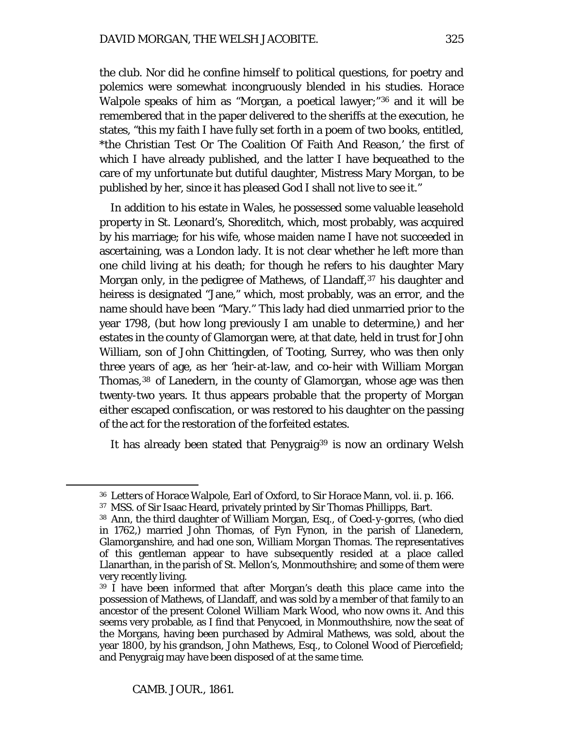the club. Nor did he confine himself to political questions, for poetry and polemics were somewhat incongruously blended in his studies. Horace Walpole speaks of him as "Morgan, a poetical lawyer;"[36](#page-30-0) and it will be remembered that in the paper delivered to the sheriffs at the execution, he states, "this my faith I have fully set forth in a poem of two books, entitled, \*the Christian Test Or The Coalition Of Faith And Reason,' the first of which I have already published, and the latter I have bequeathed to the care of my unfortunate but dutiful daughter, Mistress Mary Morgan, to be published by her, since it has pleased God I shall not live to see it."

In addition to his estate in Wales, he possessed some valuable leasehold property in St. Leonard's, Shoreditch, which, most probably, was acquired by his marriage; for his wife, whose maiden name I have not succeeded in ascertaining, was a London lady. It is not clear whether he left more than one child living at his death; for though he refers to his daughter Mary Morgan only, in the pedigree of Mathews, of Llandaff,<sup>[37](#page-30-1)</sup> his daughter and heiress is designated "Jane," which, most probably, was an error, and the name should have been "Mary." This lady had died unmarried prior to the year 1798, (but how long previously I am unable to determine,) and her estates in the county of Glamorgan were, at that date, held in trust for John William, son of John Chittingden, of Tooting, Surrey, who was then only three years of age, as her 'heir-at-law, and co-heir with William Morgan Thomas,<sup>[38](#page-30-2)</sup> of Lanedern, in the county of Glamorgan, whose age was then twenty-two years. It thus appears probable that the property of Morgan either escaped confiscation, or was restored to his daughter on the passing of the act for the restoration of the forfeited estates.

It has already been stated that Penygraig<sup>[39](#page-30-3)</sup> is now an ordinary Welsh

<span id="page-30-0"></span><sup>36</sup> Letters of Horace Walpole, Earl of Oxford, to Sir Horace Mann, vol. ii. p. 166.

<span id="page-30-1"></span><sup>37</sup> MSS. of Sir Isaac Heard, privately printed by Sir Thomas Phillipps, Bart.

<span id="page-30-2"></span><sup>38</sup> Ann, the third daughter of William Morgan, Esq., of Coed-y-gorres, (who died in 1762,) married John Thomas, of Fyn Fynon, in the parish of Llanedern, Glamorganshire, and had one son, William Morgan Thomas. The representatives of this gentleman appear to have subsequently resided at a place called Llanarthan, in the parish of St. Mellon's, Monmouthshire; and some of them were very recently living.

<span id="page-30-3"></span><sup>39</sup> I have been informed that after Morgan's death this place came into the possession of Mathews, of Llandaff, and was sold by a member of that family to an ancestor of the present Colonel William Mark Wood, who now owns it. And this seems very probable, as I find that Penycoed, in Monmouthshire, now the seat of the Morgans, having been purchased by Admiral Mathews, was sold, about the year 1800, by his grandson, John Mathews, Esq., to Colonel Wood of Piercefield; and Penygraig may have been disposed of at the same time.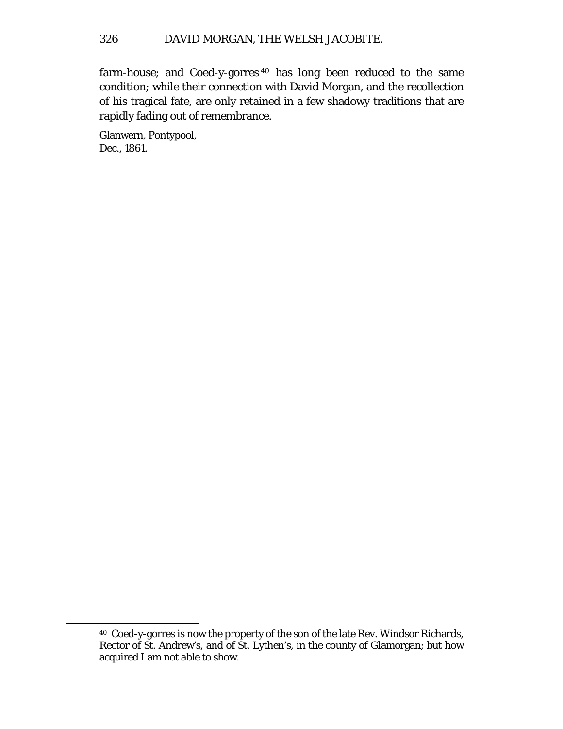farm-house; and Coed-y-gorres [40](#page-31-0) has long been reduced to the same condition; while their connection with David Morgan, and the recollection of his tragical fate, are only retained in a few shadowy traditions that are rapidly fading out of remembrance.

Glanwern, Pontypool, Dec., 1861.

<span id="page-31-0"></span><sup>40</sup> Coed-y-gorres is now the property of the son of the late Rev. Windsor Richards, Rector of St. Andrew's, and of St. Lythen's, in the county of Glamorgan; but how acquired I am not able to show.